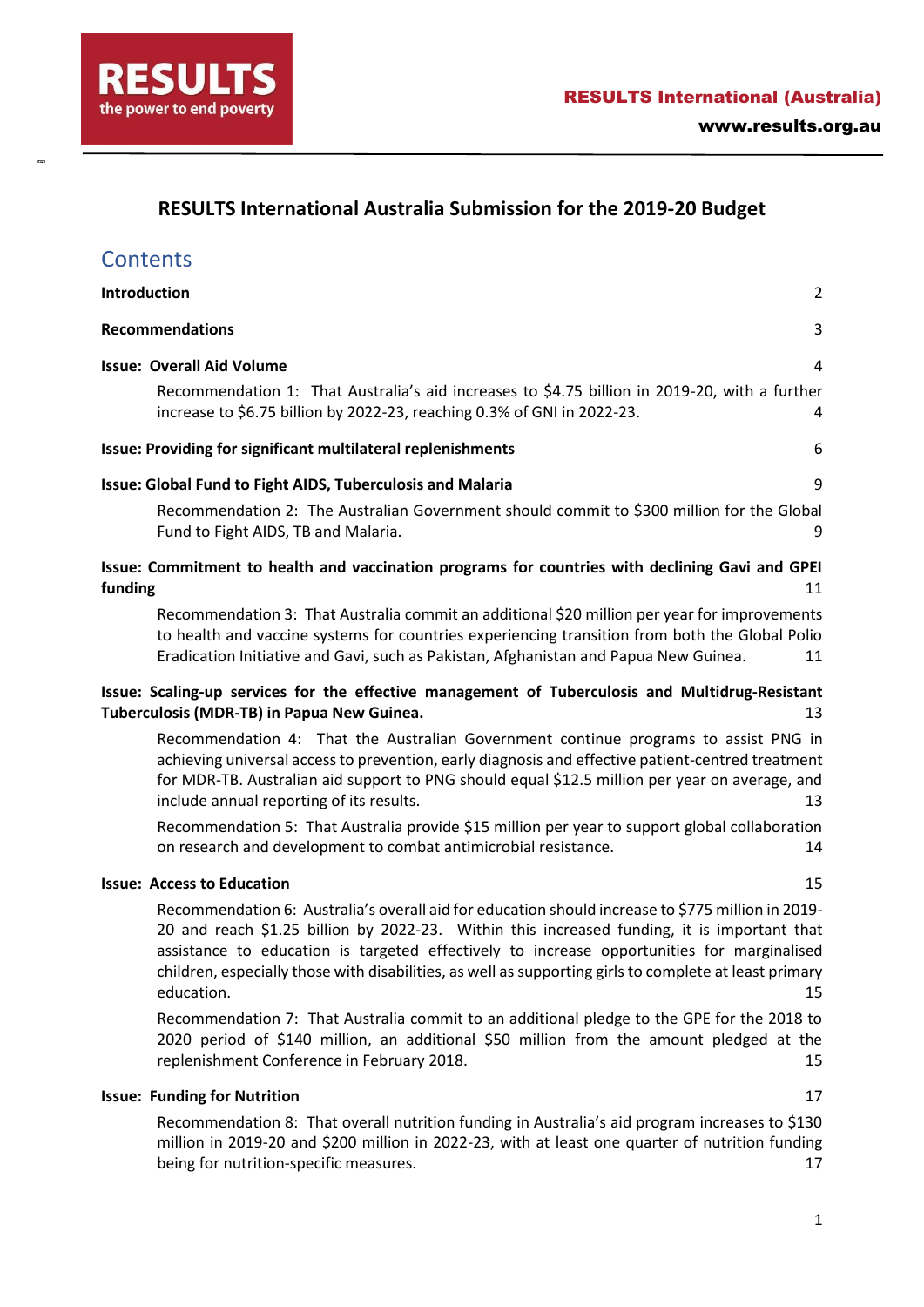www.results.org.automatics.org.automatics.org.automatics.org.automatics.org/

## **RESULTS International Australia Submission for the 2019-20 Budget**

# **Contents**

 $\overline{a}$ 

| Introduction<br>$\overline{2}$                                                                                                                                                                                                                                                                                                                                                                                                                 |  |  |  |  |  |
|------------------------------------------------------------------------------------------------------------------------------------------------------------------------------------------------------------------------------------------------------------------------------------------------------------------------------------------------------------------------------------------------------------------------------------------------|--|--|--|--|--|
| <b>Recommendations</b><br>3                                                                                                                                                                                                                                                                                                                                                                                                                    |  |  |  |  |  |
| <b>Issue: Overall Aid Volume</b><br>4<br>Recommendation 1: That Australia's aid increases to \$4.75 billion in 2019-20, with a further<br>increase to \$6.75 billion by 2022-23, reaching 0.3% of GNI in 2022-23.<br>4                                                                                                                                                                                                                         |  |  |  |  |  |
| Issue: Providing for significant multilateral replenishments<br>6                                                                                                                                                                                                                                                                                                                                                                              |  |  |  |  |  |
| Issue: Global Fund to Fight AIDS, Tuberculosis and Malaria<br>9<br>Recommendation 2: The Australian Government should commit to \$300 million for the Global<br>Fund to Fight AIDS, TB and Malaria.<br>9                                                                                                                                                                                                                                       |  |  |  |  |  |
| Issue: Commitment to health and vaccination programs for countries with declining Gavi and GPEI<br>funding<br>11                                                                                                                                                                                                                                                                                                                               |  |  |  |  |  |
| Recommendation 3: That Australia commit an additional \$20 million per year for improvements<br>to health and vaccine systems for countries experiencing transition from both the Global Polio<br>Eradication Initiative and Gavi, such as Pakistan, Afghanistan and Papua New Guinea.<br>11                                                                                                                                                   |  |  |  |  |  |
| Issue: Scaling-up services for the effective management of Tuberculosis and Multidrug-Resistant<br>Tuberculosis (MDR-TB) in Papua New Guinea.<br>13                                                                                                                                                                                                                                                                                            |  |  |  |  |  |
| Recommendation 4: That the Australian Government continue programs to assist PNG in<br>achieving universal access to prevention, early diagnosis and effective patient-centred treatment<br>for MDR-TB. Australian aid support to PNG should equal \$12.5 million per year on average, and<br>include annual reporting of its results.<br>13<br>Recommendation 5: That Australia provide \$15 million per year to support global collaboration |  |  |  |  |  |
| on research and development to combat antimicrobial resistance.<br>14                                                                                                                                                                                                                                                                                                                                                                          |  |  |  |  |  |
| <b>Issue: Access to Education</b><br>15                                                                                                                                                                                                                                                                                                                                                                                                        |  |  |  |  |  |
| Recommendation 6: Australia's overall aid for education should increase to \$775 million in 2019-<br>20 and reach \$1.25 billion by 2022-23. Within this increased funding, it is important that<br>assistance to education is targeted effectively to increase opportunities for marginalised<br>children, especially those with disabilities, as well as supporting girls to complete at least primary<br>education.<br>15                   |  |  |  |  |  |
| Recommendation 7: That Australia commit to an additional pledge to the GPE for the 2018 to<br>2020 period of \$140 million, an additional \$50 million from the amount pledged at the                                                                                                                                                                                                                                                          |  |  |  |  |  |

### **[Issue: Funding for Nutrition](#page-16-0)** 17

[Recommendation 8: That overall nutrition funding in Australia's aid program increases to \\$130](#page-16-1)  [million in 2019-20 and \\$200 million in 2022-23, with at least one quarter of nutrition funding](#page-16-1)  [being for nutrition-specific measures.](#page-16-1) 17

[replenishment Conference in February 2018.](#page-14-2) 15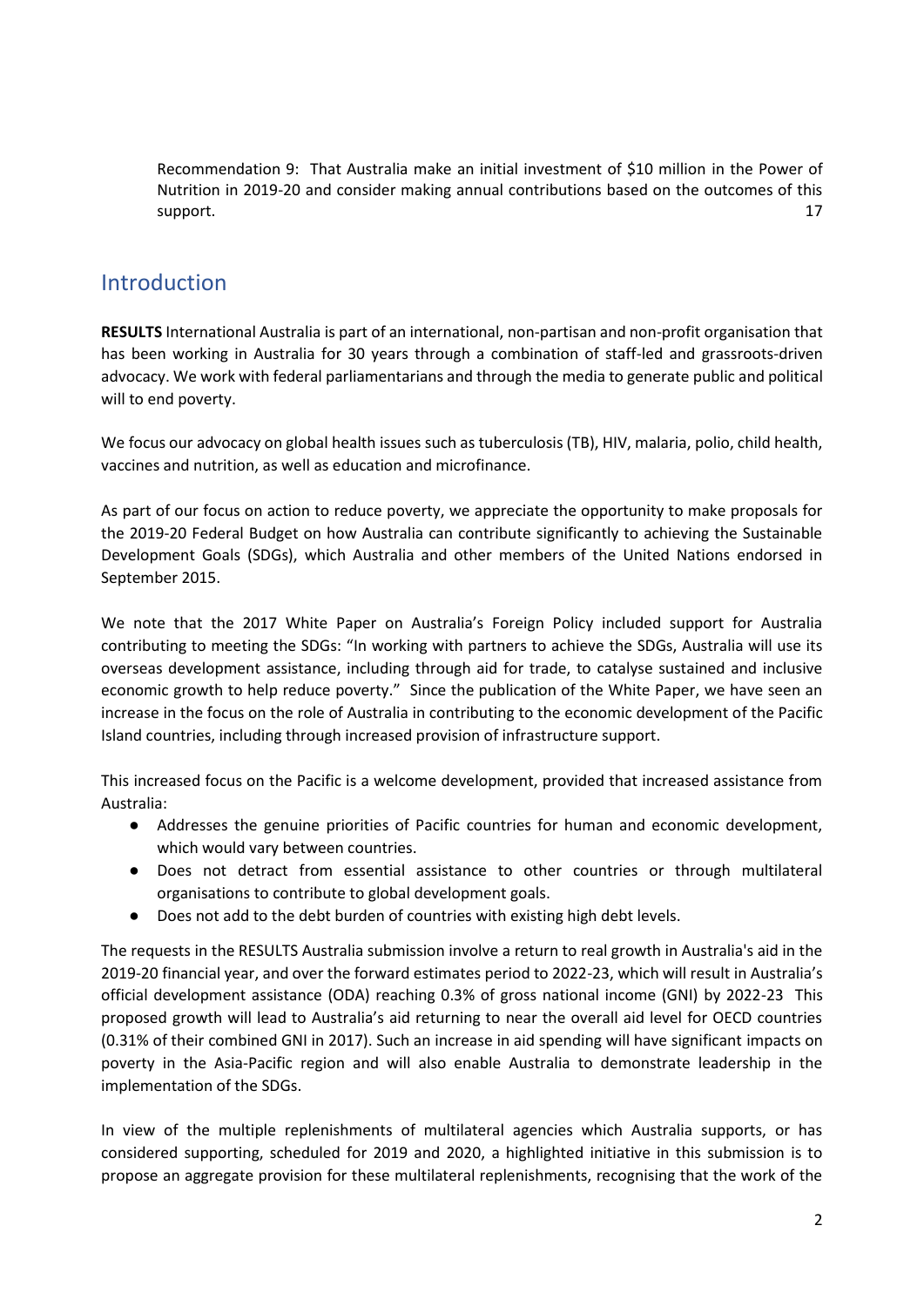[Recommendation 9: That Australia make an initial investment of \\$10 million in the Power of](#page-16-2)  [Nutrition in 2019-20 and consider making annual contributions based on the outcomes of this](#page-16-2)  [support.](#page-16-2) 17

## <span id="page-1-0"></span>Introduction

**RESULTS** International Australia is part of an international, non-partisan and non-profit organisation that has been working in Australia for 30 years through a combination of staff-led and grassroots-driven advocacy. We work with federal parliamentarians and through the media to generate public and political will to end poverty.

We focus our advocacy on global health issues such as tuberculosis (TB), HIV, malaria, polio, child health, vaccines and nutrition, as well as education and microfinance.

As part of our focus on action to reduce poverty, we appreciate the opportunity to make proposals for the 2019-20 Federal Budget on how Australia can contribute significantly to achieving the Sustainable Development Goals (SDGs), which Australia and other members of the United Nations endorsed in September 2015.

We note that the 2017 White Paper on Australia's Foreign Policy included support for Australia contributing to meeting the SDGs: "In working with partners to achieve the SDGs, Australia will use its overseas development assistance, including through aid for trade, to catalyse sustained and inclusive economic growth to help reduce poverty." Since the publication of the White Paper, we have seen an increase in the focus on the role of Australia in contributing to the economic development of the Pacific Island countries, including through increased provision of infrastructure support.

This increased focus on the Pacific is a welcome development, provided that increased assistance from Australia:

- Addresses the genuine priorities of Pacific countries for human and economic development, which would vary between countries.
- Does not detract from essential assistance to other countries or through multilateral organisations to contribute to global development goals.
- Does not add to the debt burden of countries with existing high debt levels.

The requests in the RESULTS Australia submission involve a return to real growth in Australia's aid in the 2019-20 financial year, and over the forward estimates period to 2022-23, which will result in Australia's official development assistance (ODA) reaching 0.3% of gross national income (GNI) by 2022-23 This proposed growth will lead to Australia's aid returning to near the overall aid level for OECD countries (0.31% of their combined GNI in 2017). Such an increase in aid spending will have significant impacts on poverty in the Asia-Pacific region and will also enable Australia to demonstrate leadership in the implementation of the SDGs.

In view of the multiple replenishments of multilateral agencies which Australia supports, or has considered supporting, scheduled for 2019 and 2020, a highlighted initiative in this submission is to propose an aggregate provision for these multilateral replenishments, recognising that the work of the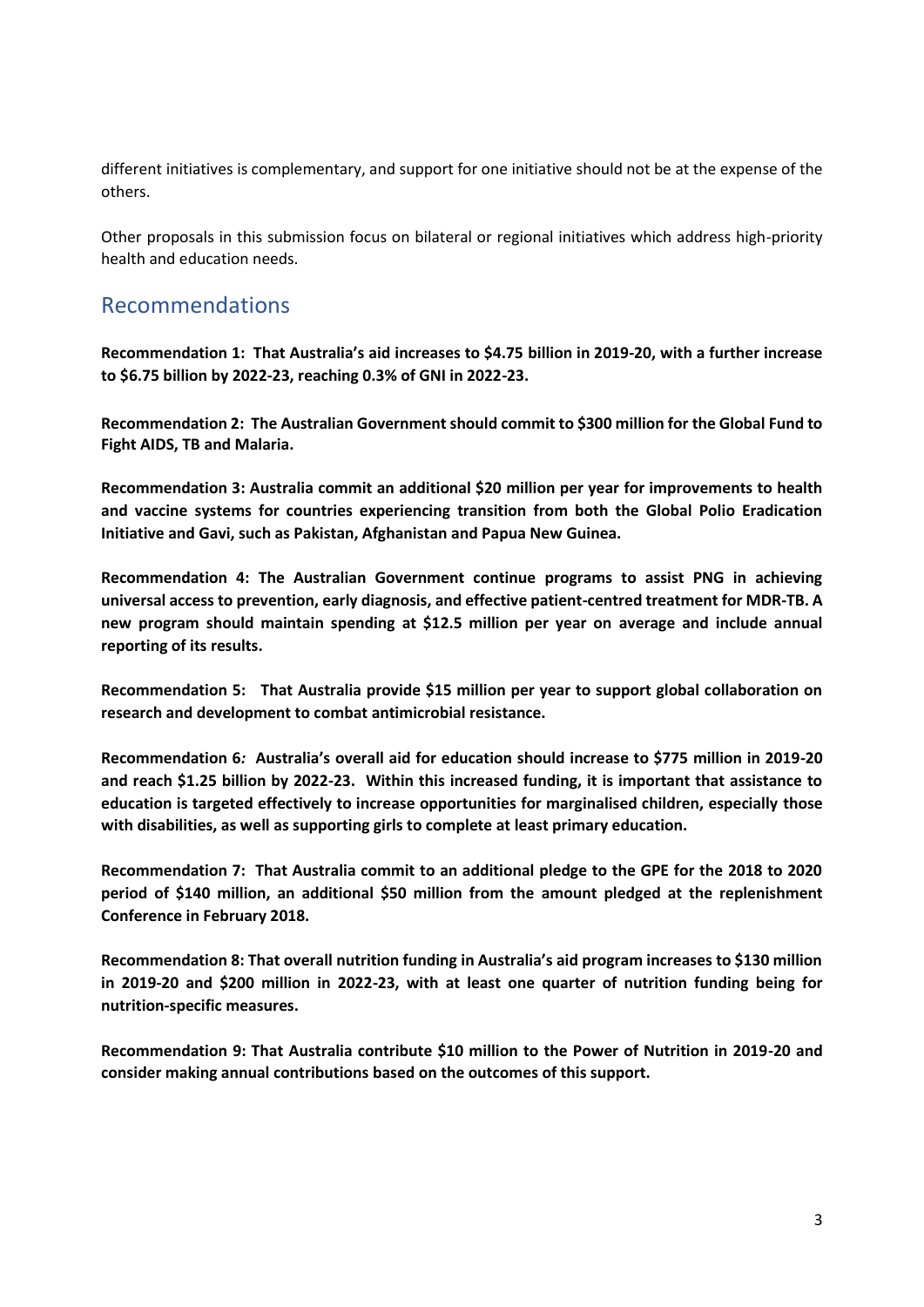different initiatives is complementary, and support for one initiative should not be at the expense of the others.

Other proposals in this submission focus on bilateral or regional initiatives which address high-priority health and education needs.

## <span id="page-2-0"></span>Recommendations

**Recommendation 1: That Australia's aid increases to \$4.75 billion in 2019-20, with a further increase to \$6.75 billion by 2022-23, reaching 0.3% of GNI in 2022-23.** 

**Recommendation 2: The Australian Government should commit to \$300 million for the Global Fund to Fight AIDS, TB and Malaria.**

**Recommendation 3: Australia commit an additional \$20 million per year for improvements to health and vaccine systems for countries experiencing transition from both the Global Polio Eradication Initiative and Gavi, such as Pakistan, Afghanistan and Papua New Guinea.** 

**Recommendation 4: The Australian Government continue programs to assist PNG in achieving universal access to prevention, early diagnosis, and effective patient-centred treatment for MDR-TB. A new program should maintain spending at \$12.5 million per year on average and include annual reporting of its results.**

**Recommendation 5: That Australia provide \$15 million per year to support global collaboration on research and development to combat antimicrobial resistance.** 

**Recommendation 6***:* **Australia's overall aid for education should increase to \$775 million in 2019-20 and reach \$1.25 billion by 2022-23. Within this increased funding, it is important that assistance to education is targeted effectively to increase opportunities for marginalised children, especially those with disabilities, as well as supporting girls to complete at least primary education.** 

**Recommendation 7: That Australia commit to an additional pledge to the GPE for the 2018 to 2020 period of \$140 million, an additional \$50 million from the amount pledged at the replenishment Conference in February 2018.**

**Recommendation 8: That overall nutrition funding in Australia's aid program increases to \$130 million in 2019-20 and \$200 million in 2022-23, with at least one quarter of nutrition funding being for nutrition-specific measures.**

**Recommendation 9: That Australia contribute \$10 million to the Power of Nutrition in 2019-20 and consider making annual contributions based on the outcomes of this support.**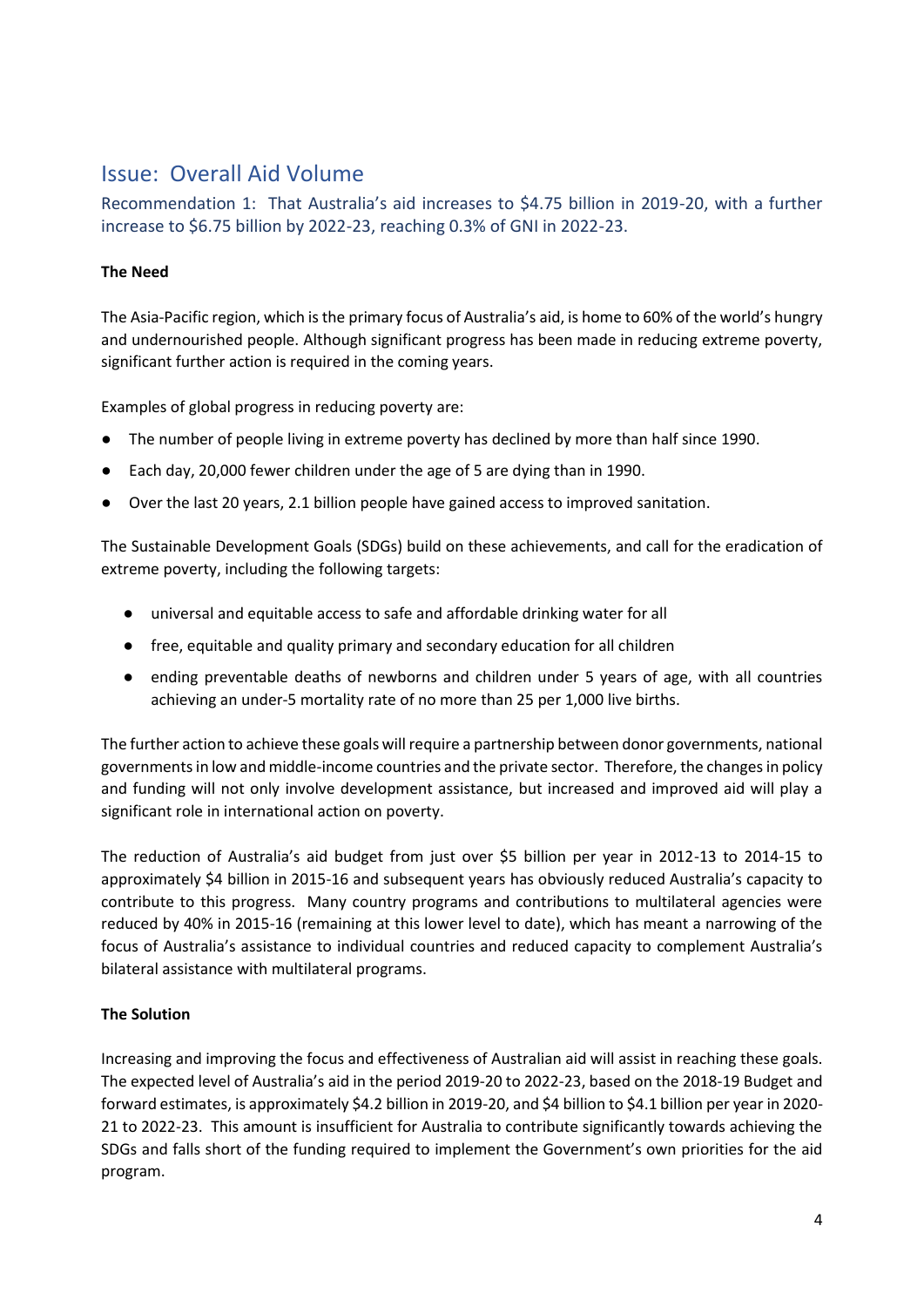# <span id="page-3-0"></span>Issue: Overall Aid Volume

<span id="page-3-1"></span>Recommendation 1: That Australia's aid increases to \$4.75 billion in 2019-20, with a further increase to \$6.75 billion by 2022-23, reaching 0.3% of GNI in 2022-23.

### **The Need**

The Asia-Pacific region, which is the primary focus of Australia's aid, is home to 60% of the world's hungry and undernourished people. Although significant progress has been made in reducing extreme poverty, significant further action is required in the coming years.

Examples of global progress in reducing poverty are:

- The number of people living in extreme poverty has declined by more than half since 1990.
- Each day, 20,000 fewer children under the age of 5 are dying than in 1990.
- Over the last 20 years, 2.1 billion people have gained access to improved sanitation.

The Sustainable Development Goals (SDGs) build on these achievements, and call for the eradication of extreme poverty, including the following targets:

- universal and equitable access to safe and affordable drinking water for all
- free, equitable and quality primary and secondary education for all children
- ending preventable deaths of newborns and children under 5 years of age, with all countries achieving an under-5 mortality rate of no more than 25 per 1,000 live births.

The further action to achieve these goals will require a partnership between donor governments, national governments in low and middle-income countries and the private sector. Therefore, the changes in policy and funding will not only involve development assistance, but increased and improved aid will play a significant role in international action on poverty.

The reduction of Australia's aid budget from just over \$5 billion per year in 2012-13 to 2014-15 to approximately \$4 billion in 2015-16 and subsequent years has obviously reduced Australia's capacity to contribute to this progress. Many country programs and contributions to multilateral agencies were reduced by 40% in 2015-16 (remaining at this lower level to date), which has meant a narrowing of the focus of Australia's assistance to individual countries and reduced capacity to complement Australia's bilateral assistance with multilateral programs.

## **The Solution**

Increasing and improving the focus and effectiveness of Australian aid will assist in reaching these goals. The expected level of Australia's aid in the period 2019-20 to 2022-23, based on the 2018-19 Budget and forward estimates, is approximately \$4.2 billion in 2019-20, and \$4 billion to \$4.1 billion per year in 2020- 21 to 2022-23. This amount is insufficient for Australia to contribute significantly towards achieving the SDGs and falls short of the funding required to implement the Government's own priorities for the aid program.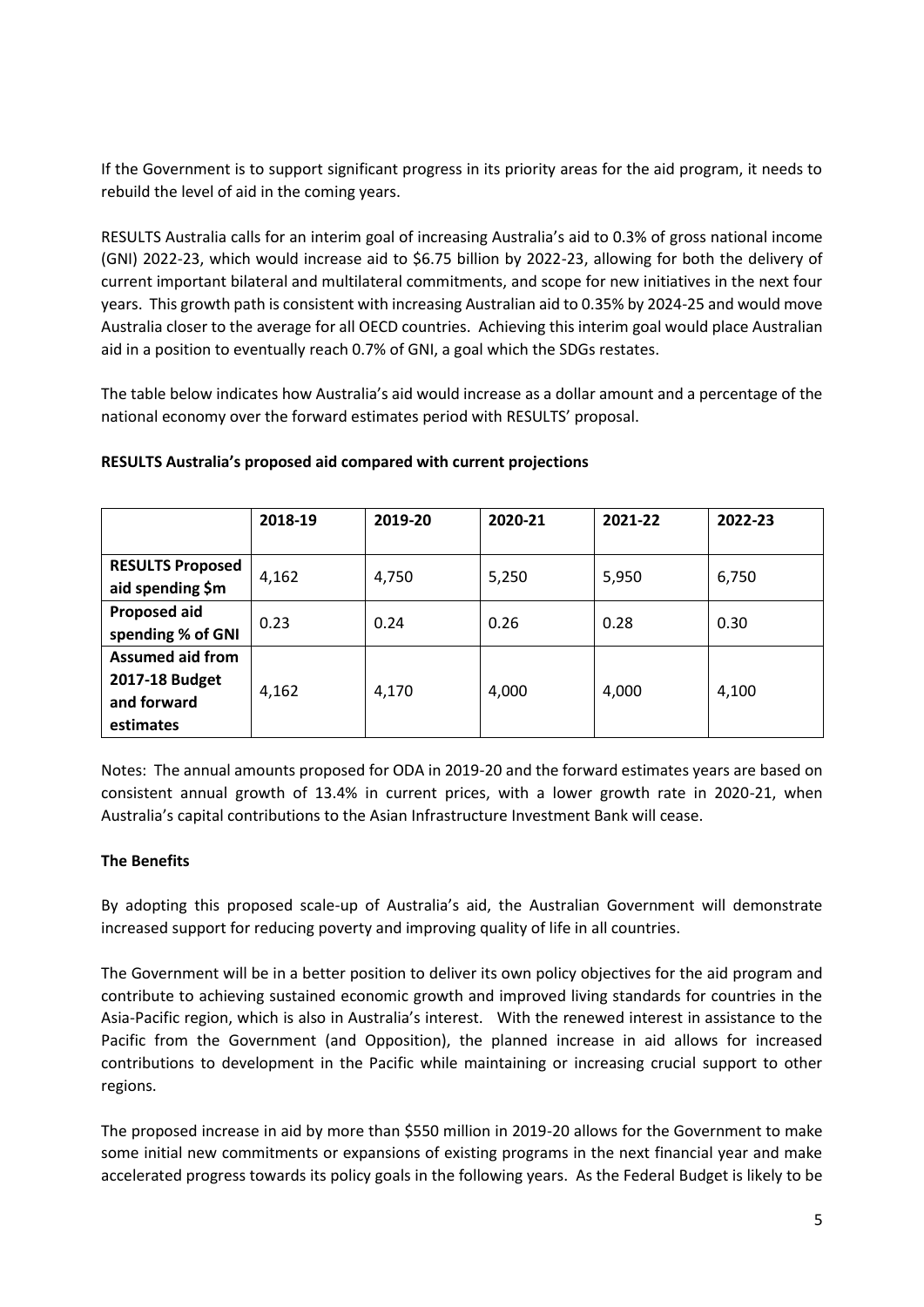If the Government is to support significant progress in its priority areas for the aid program, it needs to rebuild the level of aid in the coming years.

RESULTS Australia calls for an interim goal of increasing Australia's aid to 0.3% of gross national income (GNI) 2022-23, which would increase aid to \$6.75 billion by 2022-23, allowing for both the delivery of current important bilateral and multilateral commitments, and scope for new initiatives in the next four years. This growth path is consistent with increasing Australian aid to 0.35% by 2024-25 and would move Australia closer to the average for all OECD countries. Achieving this interim goal would place Australian aid in a position to eventually reach 0.7% of GNI, a goal which the SDGs restates.

The table below indicates how Australia's aid would increase as a dollar amount and a percentage of the national economy over the forward estimates period with RESULTS' proposal.

|                         | 2018-19 | 2019-20 | 2020-21 | 2021-22 | 2022-23 |
|-------------------------|---------|---------|---------|---------|---------|
|                         |         |         |         |         |         |
| <b>RESULTS Proposed</b> | 4,162   | 4,750   | 5,250   | 5,950   | 6,750   |
| aid spending \$m        |         |         |         |         |         |
| <b>Proposed aid</b>     | 0.23    | 0.24    | 0.26    | 0.28    | 0.30    |
| spending % of GNI       |         |         |         |         |         |
| <b>Assumed aid from</b> |         |         |         |         |         |
| 2017-18 Budget          | 4,162   | 4,170   | 4,000   | 4,000   | 4,100   |
| and forward             |         |         |         |         |         |
| estimates               |         |         |         |         |         |

#### **RESULTS Australia's proposed aid compared with current projections**

Notes: The annual amounts proposed for ODA in 2019-20 and the forward estimates years are based on consistent annual growth of 13.4% in current prices, with a lower growth rate in 2020-21, when Australia's capital contributions to the Asian Infrastructure Investment Bank will cease.

#### **The Benefits**

By adopting this proposed scale-up of Australia's aid, the Australian Government will demonstrate increased support for reducing poverty and improving quality of life in all countries.

The Government will be in a better position to deliver its own policy objectives for the aid program and contribute to achieving sustained economic growth and improved living standards for countries in the Asia-Pacific region, which is also in Australia's interest. With the renewed interest in assistance to the Pacific from the Government (and Opposition), the planned increase in aid allows for increased contributions to development in the Pacific while maintaining or increasing crucial support to other regions.

The proposed increase in aid by more than \$550 million in 2019-20 allows for the Government to make some initial new commitments or expansions of existing programs in the next financial year and make accelerated progress towards its policy goals in the following years. As the Federal Budget is likely to be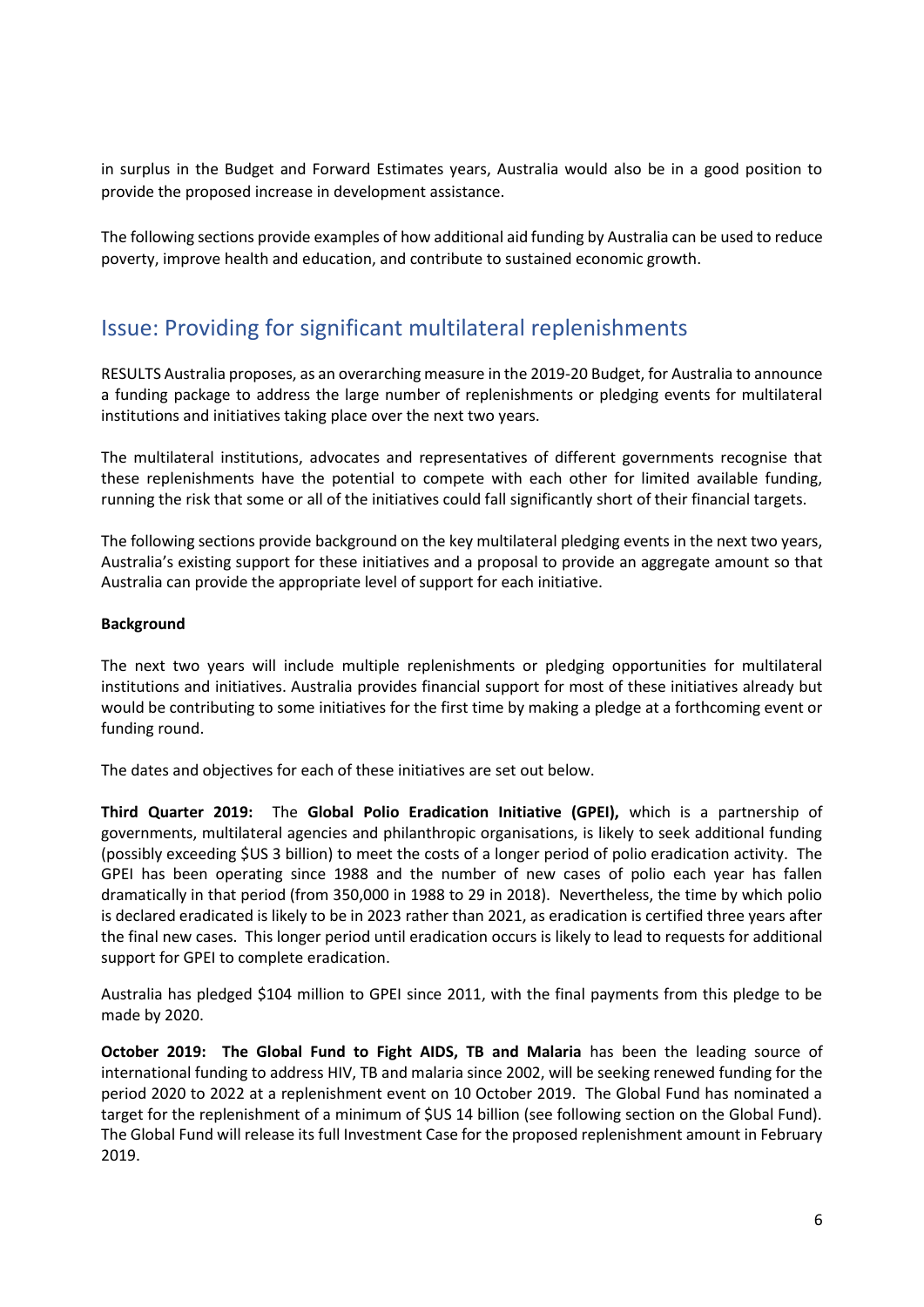in surplus in the Budget and Forward Estimates years, Australia would also be in a good position to provide the proposed increase in development assistance.

The following sections provide examples of how additional aid funding by Australia can be used to reduce poverty, improve health and education, and contribute to sustained economic growth.

# <span id="page-5-0"></span>Issue: Providing for significant multilateral replenishments

RESULTS Australia proposes, as an overarching measure in the 2019-20 Budget, for Australia to announce a funding package to address the large number of replenishments or pledging events for multilateral institutions and initiatives taking place over the next two years.

The multilateral institutions, advocates and representatives of different governments recognise that these replenishments have the potential to compete with each other for limited available funding, running the risk that some or all of the initiatives could fall significantly short of their financial targets.

The following sections provide background on the key multilateral pledging events in the next two years, Australia's existing support for these initiatives and a proposal to provide an aggregate amount so that Australia can provide the appropriate level of support for each initiative.

#### **Background**

The next two years will include multiple replenishments or pledging opportunities for multilateral institutions and initiatives. Australia provides financial support for most of these initiatives already but would be contributing to some initiatives for the first time by making a pledge at a forthcoming event or funding round.

The dates and objectives for each of these initiatives are set out below.

**Third Quarter 2019:** The **Global Polio Eradication Initiative (GPEI),** which is a partnership of governments, multilateral agencies and philanthropic organisations, is likely to seek additional funding (possibly exceeding \$US 3 billion) to meet the costs of a longer period of polio eradication activity. The GPEI has been operating since 1988 and the number of new cases of polio each year has fallen dramatically in that period (from 350,000 in 1988 to 29 in 2018). Nevertheless, the time by which polio is declared eradicated is likely to be in 2023 rather than 2021, as eradication is certified three years after the final new cases. This longer period until eradication occurs is likely to lead to requests for additional support for GPEI to complete eradication.

Australia has pledged \$104 million to GPEI since 2011, with the final payments from this pledge to be made by 2020.

**October 2019: The Global Fund to Fight AIDS, TB and Malaria** has been the leading source of international funding to address HIV, TB and malaria since 2002, will be seeking renewed funding for the period 2020 to 2022 at a replenishment event on 10 October 2019. The Global Fund has nominated a target for the replenishment of a minimum of \$US 14 billion (see following section on the Global Fund). The Global Fund will release its full Investment Case for the proposed replenishment amount in February 2019.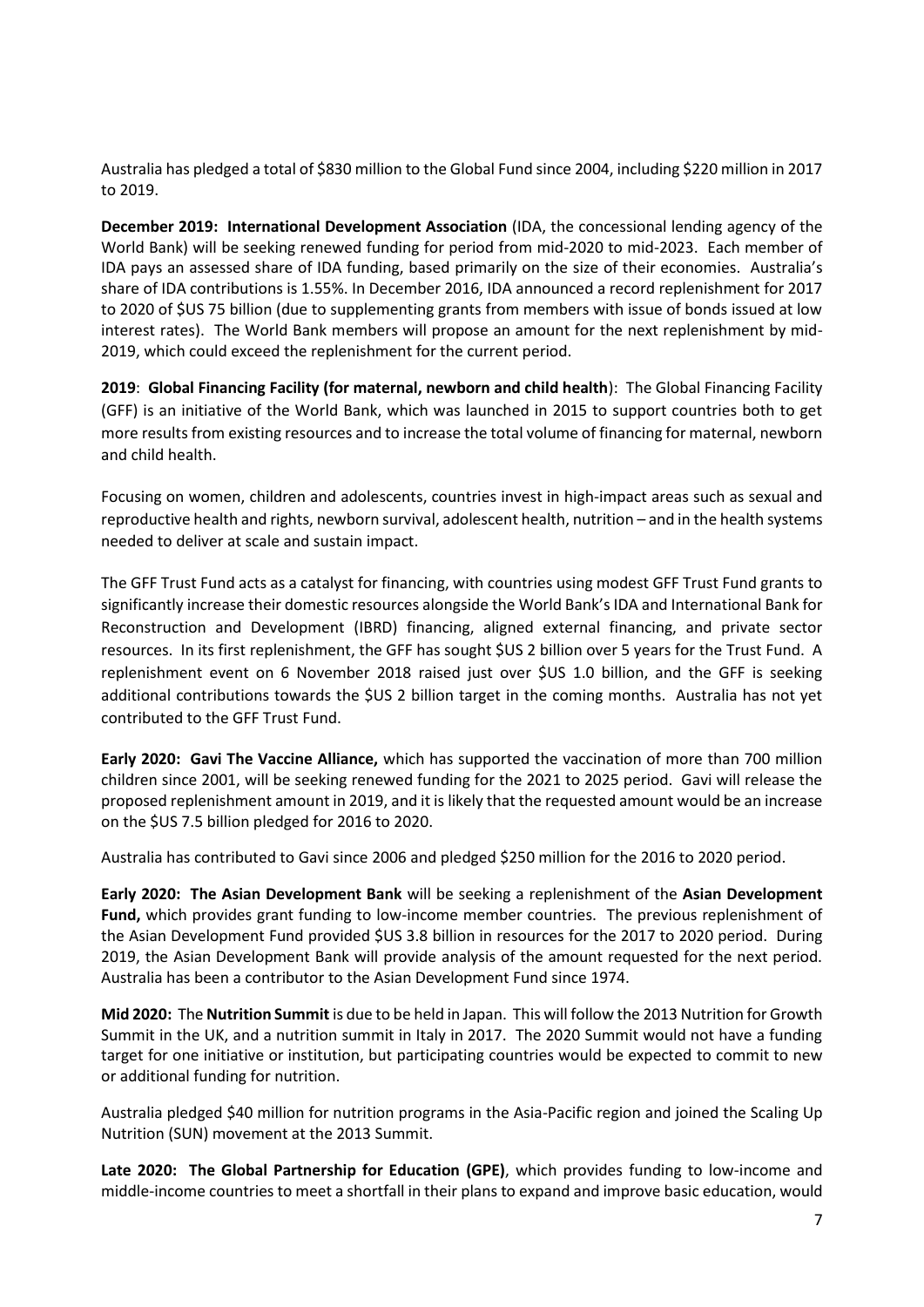Australia has pledged a total of \$830 million to the Global Fund since 2004, including \$220 million in 2017 to 2019.

**December 2019: International Development Association** (IDA, the concessional lending agency of the World Bank) will be seeking renewed funding for period from mid-2020 to mid-2023. Each member of IDA pays an assessed share of IDA funding, based primarily on the size of their economies. Australia's share of IDA contributions is 1.55%. In December 2016, IDA announced a record replenishment for 2017 to 2020 of \$US 75 billion (due to supplementing grants from members with issue of bonds issued at low interest rates). The World Bank members will propose an amount for the next replenishment by mid-2019, which could exceed the replenishment for the current period.

**2019**: **Global Financing Facility (for maternal, newborn and child health**): The Global Financing Facility (GFF) is an initiative of the World Bank, which was launched in 2015 to support countries both to get more results from existing resources and to increase the total volume of financing for maternal, newborn and child health.

Focusing on women, children and adolescents, countries invest in high-impact areas such as sexual and reproductive health and rights, newborn survival, adolescent health, nutrition – and in the health systems needed to deliver at scale and sustain impact.

The GFF Trust Fund acts as a catalyst for financing, with countries using modest GFF Trust Fund grants to significantly increase their domestic resources alongside the World Bank's IDA and International Bank for Reconstruction and Development (IBRD) financing, aligned external financing, and private sector resources. In its first replenishment, the GFF has sought \$US 2 billion over 5 years for the Trust Fund. A replenishment event on 6 November 2018 raised just over \$US 1.0 billion, and the GFF is seeking additional contributions towards the \$US 2 billion target in the coming months. Australia has not yet contributed to the GFF Trust Fund.

**Early 2020: Gavi The Vaccine Alliance,** which has supported the vaccination of more than 700 million children since 2001, will be seeking renewed funding for the 2021 to 2025 period. Gavi will release the proposed replenishment amount in 2019, and it is likely that the requested amount would be an increase on the \$US 7.5 billion pledged for 2016 to 2020.

Australia has contributed to Gavi since 2006 and pledged \$250 million for the 2016 to 2020 period.

**Early 2020: The Asian Development Bank** will be seeking a replenishment of the **Asian Development Fund,** which provides grant funding to low-income member countries. The previous replenishment of the Asian Development Fund provided \$US 3.8 billion in resources for the 2017 to 2020 period. During 2019, the Asian Development Bank will provide analysis of the amount requested for the next period. Australia has been a contributor to the Asian Development Fund since 1974.

**Mid 2020:** The **Nutrition Summit** is due to be held in Japan. This will follow the 2013 Nutrition for Growth Summit in the UK, and a nutrition summit in Italy in 2017. The 2020 Summit would not have a funding target for one initiative or institution, but participating countries would be expected to commit to new or additional funding for nutrition.

Australia pledged \$40 million for nutrition programs in the Asia-Pacific region and joined the Scaling Up Nutrition (SUN) movement at the 2013 Summit.

**Late 2020: The Global Partnership for Education (GPE)**, which provides funding to low-income and middle-income countries to meet a shortfall in their plans to expand and improve basic education, would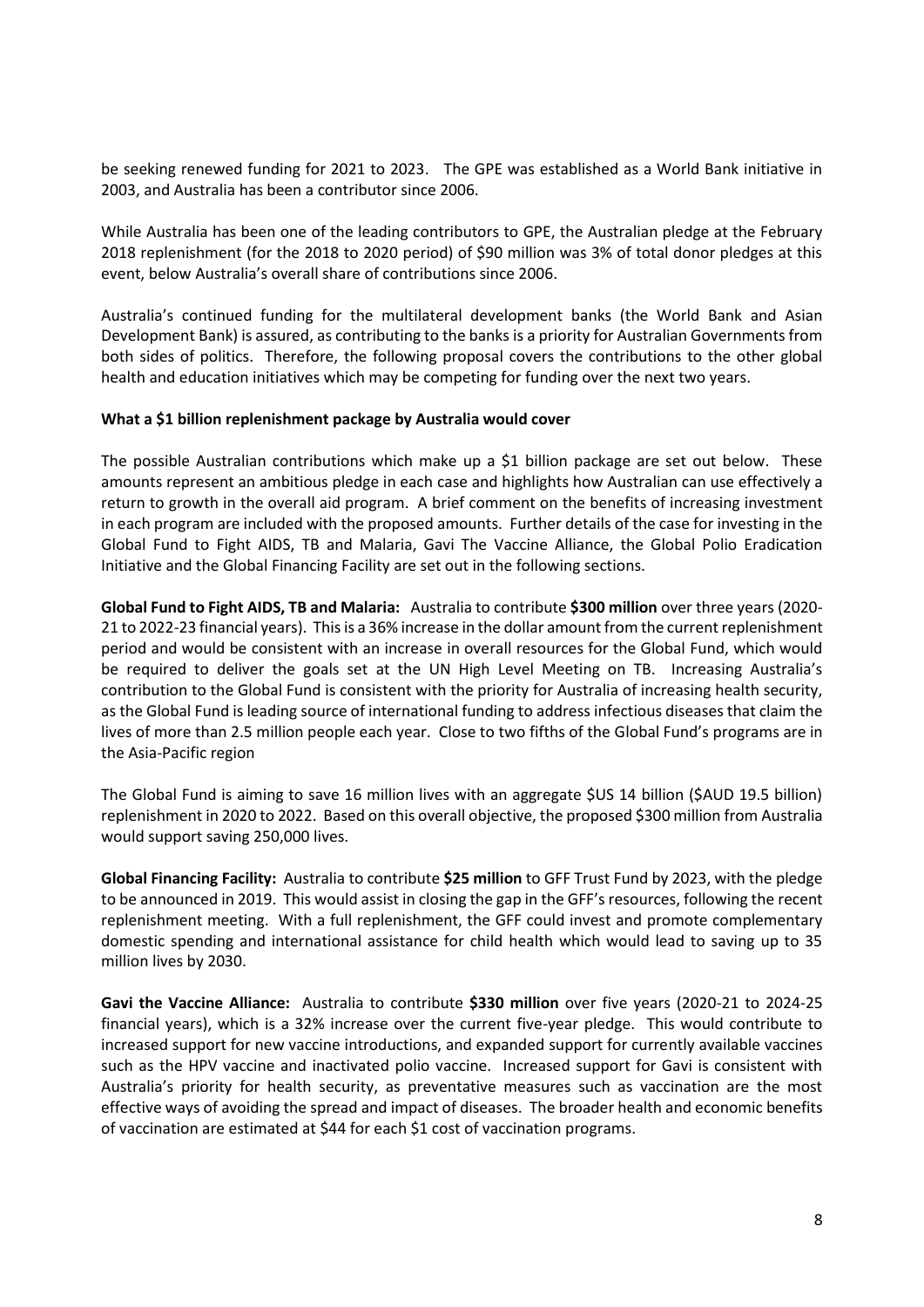be seeking renewed funding for 2021 to 2023. The GPE was established as a World Bank initiative in 2003, and Australia has been a contributor since 2006.

While Australia has been one of the leading contributors to GPE, the Australian pledge at the February 2018 replenishment (for the 2018 to 2020 period) of \$90 million was 3% of total donor pledges at this event, below Australia's overall share of contributions since 2006.

Australia's continued funding for the multilateral development banks (the World Bank and Asian Development Bank) is assured, as contributing to the banks is a priority for Australian Governments from both sides of politics. Therefore, the following proposal covers the contributions to the other global health and education initiatives which may be competing for funding over the next two years.

#### **What a \$1 billion replenishment package by Australia would cover**

The possible Australian contributions which make up a \$1 billion package are set out below. These amounts represent an ambitious pledge in each case and highlights how Australian can use effectively a return to growth in the overall aid program. A brief comment on the benefits of increasing investment in each program are included with the proposed amounts. Further details of the case for investing in the Global Fund to Fight AIDS, TB and Malaria, Gavi The Vaccine Alliance, the Global Polio Eradication Initiative and the Global Financing Facility are set out in the following sections.

**Global Fund to Fight AIDS, TB and Malaria:** Australia to contribute **\$300 million** over three years (2020- 21 to 2022-23 financial years). This is a 36% increase in the dollar amount from the current replenishment period and would be consistent with an increase in overall resources for the Global Fund, which would be required to deliver the goals set at the UN High Level Meeting on TB. Increasing Australia's contribution to the Global Fund is consistent with the priority for Australia of increasing health security, as the Global Fund is leading source of international funding to address infectious diseases that claim the lives of more than 2.5 million people each year. Close to two fifths of the Global Fund's programs are in the Asia-Pacific region

The Global Fund is aiming to save 16 million lives with an aggregate \$US 14 billion (\$AUD 19.5 billion) replenishment in 2020 to 2022. Based on this overall objective, the proposed \$300 million from Australia would support saving 250,000 lives.

**Global Financing Facility:** Australia to contribute **\$25 million** to GFF Trust Fund by 2023, with the pledge to be announced in 2019. This would assist in closing the gap in the GFF's resources, following the recent replenishment meeting. With a full replenishment, the GFF could invest and promote complementary domestic spending and international assistance for child health which would lead to saving up to 35 million lives by 2030.

**Gavi the Vaccine Alliance:** Australia to contribute **\$330 million** over five years (2020-21 to 2024-25 financial years), which is a 32% increase over the current five-year pledge. This would contribute to increased support for new vaccine introductions, and expanded support for currently available vaccines such as the HPV vaccine and inactivated polio vaccine. Increased support for Gavi is consistent with Australia's priority for health security, as preventative measures such as vaccination are the most effective ways of avoiding the spread and impact of diseases. The broader health and economic benefits of vaccination are estimated at \$44 for each \$1 cost of vaccination programs.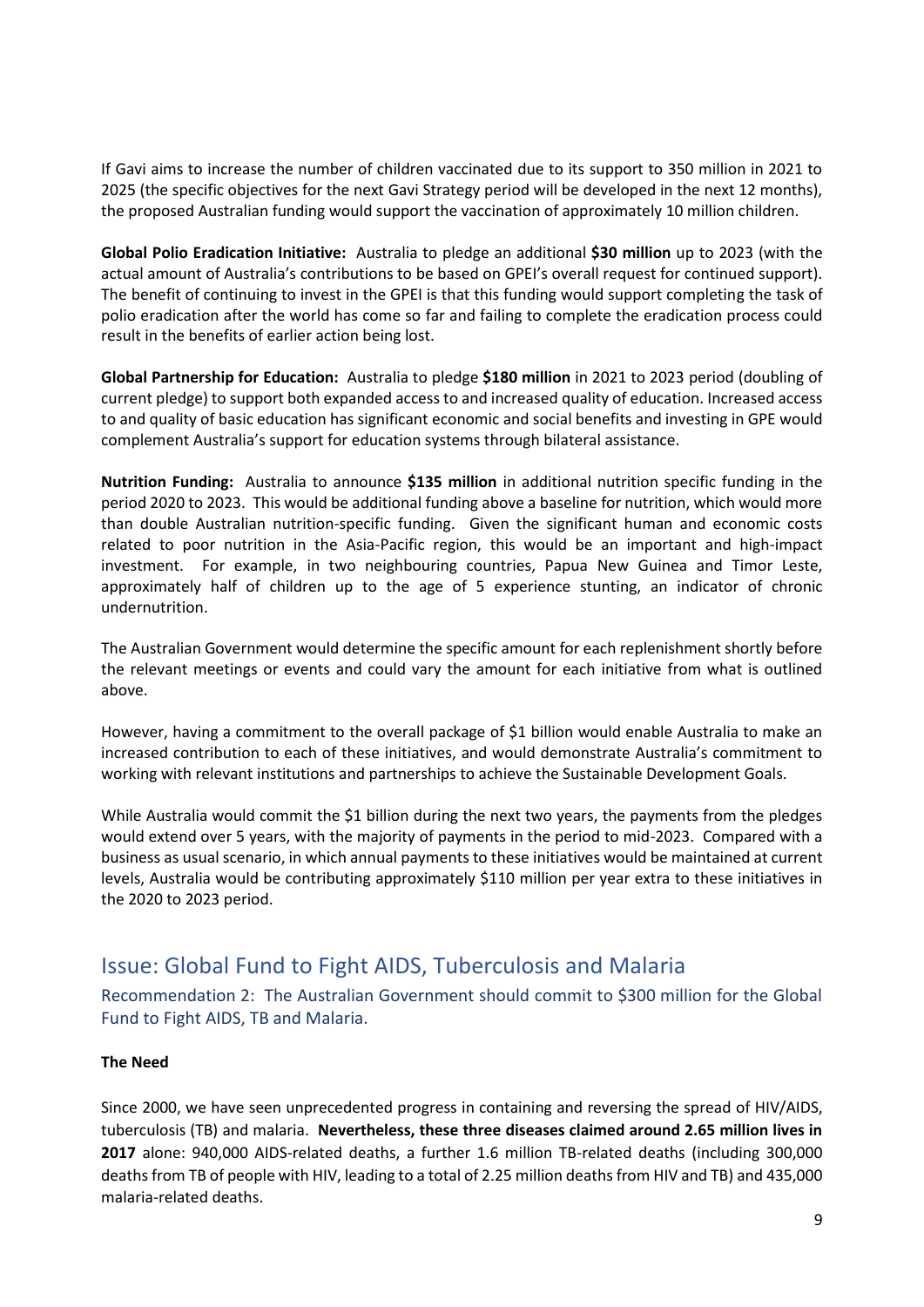If Gavi aims to increase the number of children vaccinated due to its support to 350 million in 2021 to 2025 (the specific objectives for the next Gavi Strategy period will be developed in the next 12 months), the proposed Australian funding would support the vaccination of approximately 10 million children.

**Global Polio Eradication Initiative:** Australia to pledge an additional **\$30 million** up to 2023 (with the actual amount of Australia's contributions to be based on GPEI's overall request for continued support). The benefit of continuing to invest in the GPEI is that this funding would support completing the task of polio eradication after the world has come so far and failing to complete the eradication process could result in the benefits of earlier action being lost.

**Global Partnership for Education:** Australia to pledge **\$180 million** in 2021 to 2023 period (doubling of current pledge) to support both expanded access to and increased quality of education. Increased access to and quality of basic education has significant economic and social benefits and investing in GPE would complement Australia's support for education systems through bilateral assistance.

**Nutrition Funding:** Australia to announce **\$135 million** in additional nutrition specific funding in the period 2020 to 2023. This would be additional funding above a baseline for nutrition, which would more than double Australian nutrition-specific funding.Given the significant human and economic costs related to poor nutrition in the Asia-Pacific region, this would be an important and high-impact investment. For example, in two neighbouring countries, Papua New Guinea and Timor Leste, approximately half of children up to the age of 5 experience stunting, an indicator of chronic undernutrition.

The Australian Government would determine the specific amount for each replenishment shortly before the relevant meetings or events and could vary the amount for each initiative from what is outlined above.

However, having a commitment to the overall package of \$1 billion would enable Australia to make an increased contribution to each of these initiatives, and would demonstrate Australia's commitment to working with relevant institutions and partnerships to achieve the Sustainable Development Goals.

While Australia would commit the \$1 billion during the next two years, the payments from the pledges would extend over 5 years, with the majority of payments in the period to mid-2023. Compared with a business as usual scenario, in which annual payments to these initiatives would be maintained at current levels, Australia would be contributing approximately \$110 million per year extra to these initiatives in the 2020 to 2023 period.

# <span id="page-8-0"></span>Issue: Global Fund to Fight AIDS, Tuberculosis and Malaria

<span id="page-8-1"></span>Recommendation 2: The Australian Government should commit to \$300 million for the Global Fund to Fight AIDS, TB and Malaria.

#### **The Need**

Since 2000, we have seen unprecedented progress in containing and reversing the spread of HIV/AIDS, tuberculosis (TB) and malaria. **Nevertheless, these three diseases claimed around 2.65 million lives in 2017** alone: 940,000 AIDS-related deaths, a further 1.6 million TB-related deaths (including 300,000 deaths from TB of people with HIV, leading to a total of 2.25 million deaths from HIV and TB) and 435,000 malaria-related deaths.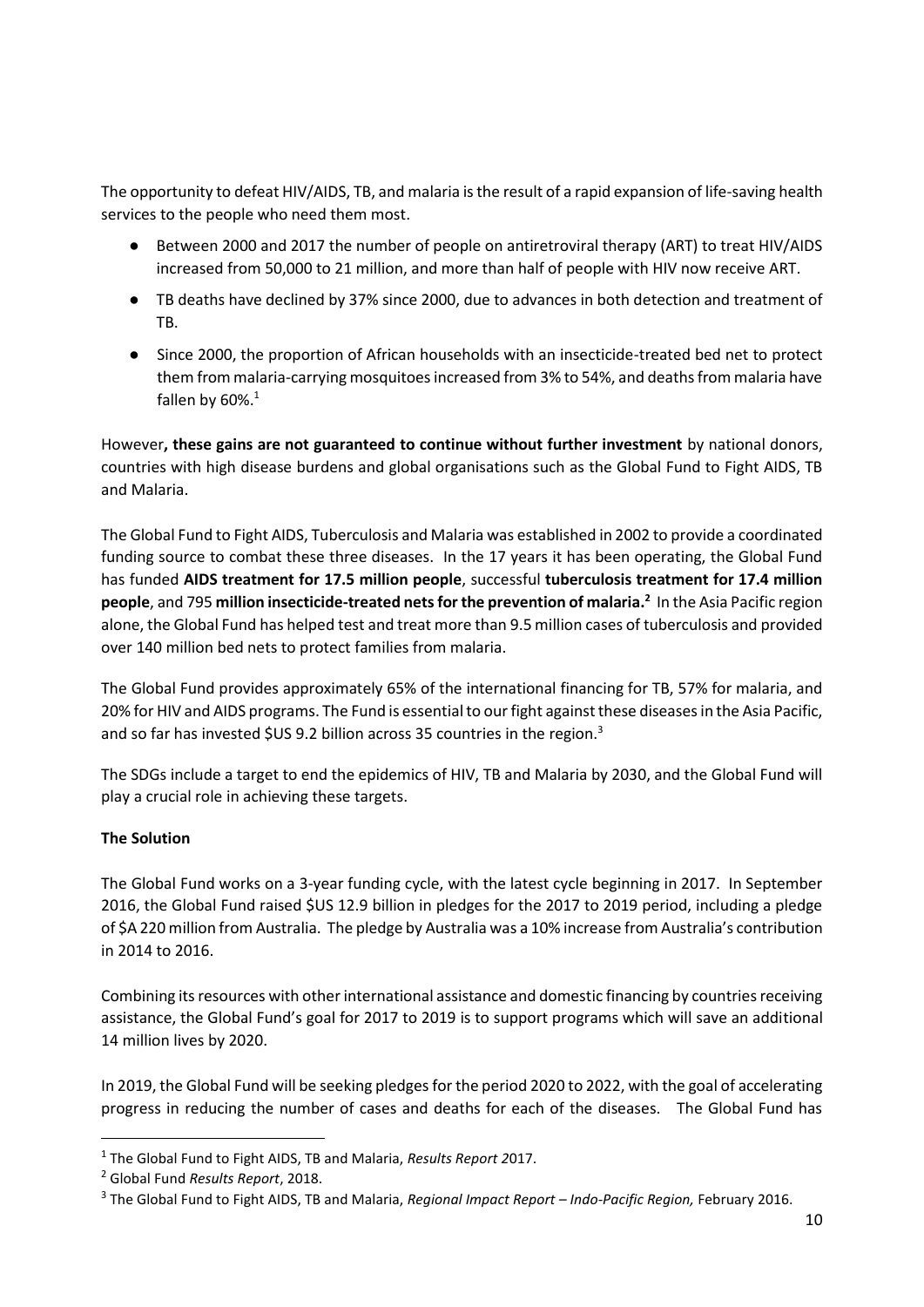The opportunity to defeat HIV/AIDS, TB, and malaria is the result of a rapid expansion of life-saving health services to the people who need them most.

- Between 2000 and 2017 the number of people on antiretroviral therapy (ART) to treat HIV/AIDS increased from 50,000 to 21 million, and more than half of people with HIV now receive ART.
- TB deaths have declined by 37% since 2000, due to advances in both detection and treatment of TB.
- Since 2000, the proportion of African households with an insecticide-treated bed net to protect them from malaria-carrying mosquitoes increased from 3% to 54%, and deaths from malaria have fallen by  $60\%$ .<sup>1</sup>

However**, these gains are not guaranteed to continue without further investment** by national donors, countries with high disease burdens and global organisations such as the Global Fund to Fight AIDS, TB and Malaria.

The Global Fund to Fight AIDS, Tuberculosis and Malaria was established in 2002 to provide a coordinated funding source to combat these three diseases. In the 17 years it has been operating, the Global Fund has funded **AIDS treatment for 17.5 million people**, successful **tuberculosis treatment for 17.4 million people**, and 795 **million insecticide-treated nets for the prevention of malaria.<sup>2</sup>** In the Asia Pacific region alone, the Global Fund has helped test and treat more than 9.5 million cases of tuberculosis and provided over 140 million bed nets to protect families from malaria.

The Global Fund provides approximately 65% of the international financing for TB, 57% for malaria, and 20% for HIV and AIDS programs. The Fund is essential to our fight against these diseases in the Asia Pacific, and so far has invested \$US 9.2 billion across 35 countries in the region.<sup>3</sup>

The SDGs include a target to end the epidemics of HIV, TB and Malaria by 2030, and the Global Fund will play a crucial role in achieving these targets.

#### **The Solution**

**.** 

The Global Fund works on a 3-year funding cycle, with the latest cycle beginning in 2017. In September 2016, the Global Fund raised \$US 12.9 billion in pledges for the 2017 to 2019 period, including a pledge of \$A 220 million from Australia. The pledge by Australia was a 10% increase from Australia's contribution in 2014 to 2016.

Combining its resources with other international assistance and domestic financing by countries receiving assistance, the Global Fund's goal for 2017 to 2019 is to support programs which will save an additional 14 million lives by 2020.

In 2019, the Global Fund will be seeking pledges for the period 2020 to 2022, with the goal of accelerating progress in reducing the number of cases and deaths for each of the diseases. The Global Fund has

<sup>1</sup> The Global Fund to Fight AIDS, TB and Malaria, *Results Report 2*017.

<sup>2</sup> Global Fund *Results Report*, 2018.

<sup>3</sup> The Global Fund to Fight AIDS, TB and Malaria, *Regional Impact Report – Indo-Pacific Region,* February 2016.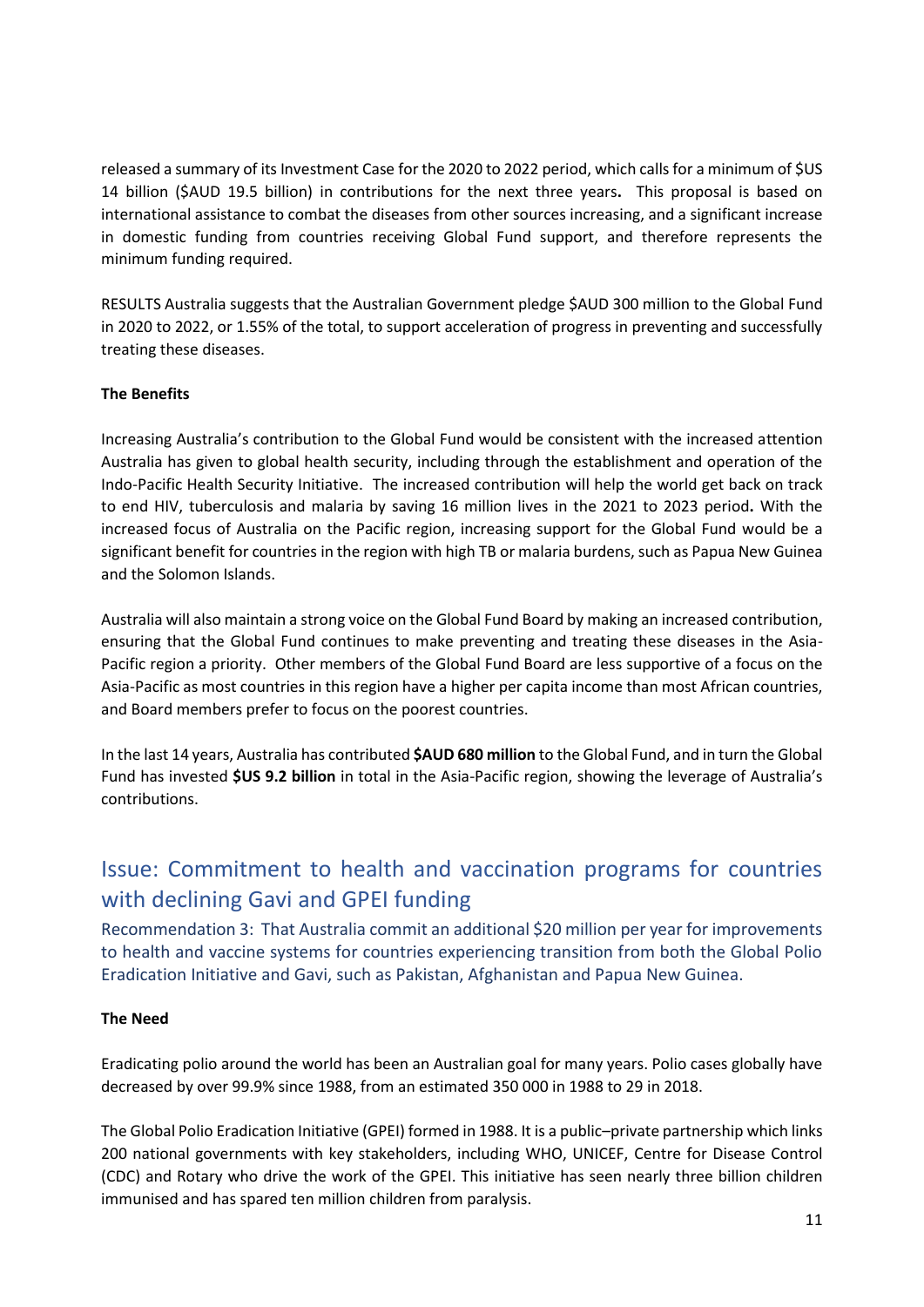released a summary of its Investment Case for the 2020 to 2022 period, which calls for a minimum of \$US 14 billion (\$AUD 19.5 billion) in contributions for the next three years**.** This proposal is based on international assistance to combat the diseases from other sources increasing, and a significant increase in domestic funding from countries receiving Global Fund support, and therefore represents the minimum funding required.

RESULTS Australia suggests that the Australian Government pledge \$AUD 300 million to the Global Fund in 2020 to 2022, or 1.55% of the total, to support acceleration of progress in preventing and successfully treating these diseases.

### **The Benefits**

Increasing Australia's contribution to the Global Fund would be consistent with the increased attention Australia has given to global health security, including through the establishment and operation of the Indo-Pacific Health Security Initiative. The increased contribution will help the world get back on track to end HIV, tuberculosis and malaria by saving 16 million lives in the 2021 to 2023 period**.** With the increased focus of Australia on the Pacific region, increasing support for the Global Fund would be a significant benefit for countries in the region with high TB or malaria burdens, such as Papua New Guinea and the Solomon Islands.

Australia will also maintain a strong voice on the Global Fund Board by making an increased contribution, ensuring that the Global Fund continues to make preventing and treating these diseases in the Asia-Pacific region a priority. Other members of the Global Fund Board are less supportive of a focus on the Asia-Pacific as most countries in this region have a higher per capita income than most African countries, and Board members prefer to focus on the poorest countries.

In the last 14 years, Australia has contributed **\$AUD 680 million** to the Global Fund, and in turn the Global Fund has invested **\$US 9.2 billion** in total in the Asia-Pacific region, showing the leverage of Australia's contributions.

# <span id="page-10-0"></span>Issue: Commitment to health and vaccination programs for countries with declining Gavi and GPEI funding

<span id="page-10-1"></span>Recommendation 3: That Australia commit an additional \$20 million per year for improvements to health and vaccine systems for countries experiencing transition from both the Global Polio Eradication Initiative and Gavi, such as Pakistan, Afghanistan and Papua New Guinea.

#### **The Need**

Eradicating polio around the world has been an Australian goal for many years. Polio cases globally have decreased by over 99.9% since 1988, from an estimated 350 000 in 1988 to 29 in 2018.

The [Global Polio Eradication Initiative](http://www.polioeradication.org/) (GPEI) formed in 1988. It is a public–private partnership which links 200 national governments with key stakeholders, including WHO, UNICEF, Centre for Disease Control (CDC) and Rotary who drive the work of the GPEI. This initiative has seen nearly three billion children immunised and has spared ten million children from paralysis.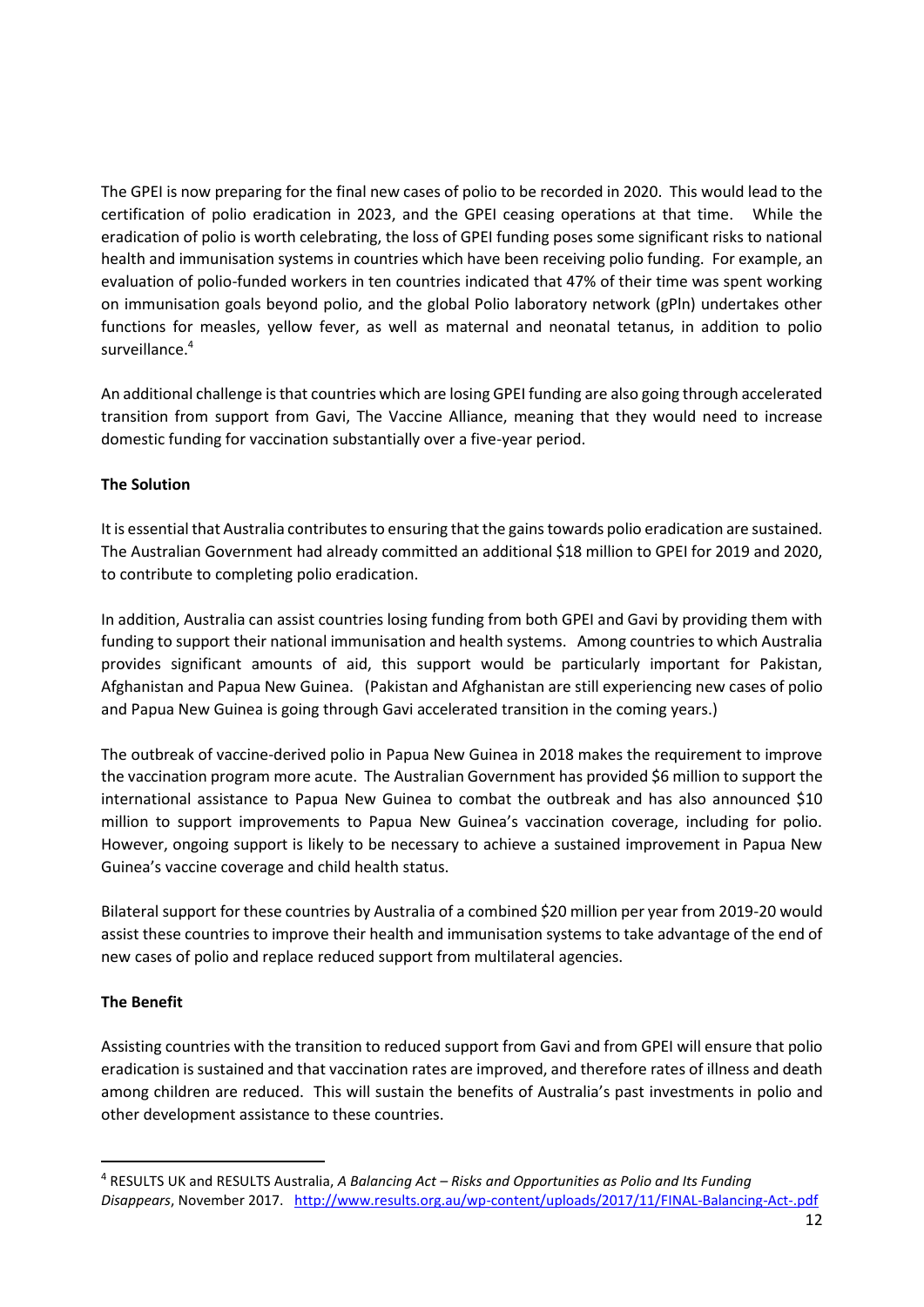The GPEI is now preparing for the final new cases of polio to be recorded in 2020. This would lead to the certification of polio eradication in 2023, and the GPEI ceasing operations at that time. While the eradication of polio is worth celebrating, the loss of GPEI funding poses some significant risks to national health and immunisation systems in countries which have been receiving polio funding. For example, an evaluation of polio-funded workers in ten countries indicated that 47% of their time was spent working on immunisation goals beyond polio, and the global Polio laboratory network (gPln) undertakes other functions for measles, yellow fever, as well as maternal and neonatal tetanus, in addition to polio surveillance.<sup>4</sup>

An additional challenge is that countries which are losing GPEI funding are also going through accelerated transition from support from Gavi, The Vaccine Alliance, meaning that they would need to increase domestic funding for vaccination substantially over a five-year period.

#### **The Solution**

It is essential that Australia contributes to ensuring that the gains towards polio eradication are sustained. The Australian Government had already committed an additional \$18 million to GPEI for 2019 and 2020, to contribute to completing polio eradication.

In addition, Australia can assist countries losing funding from both GPEI and Gavi by providing them with funding to support their national immunisation and health systems. Among countries to which Australia provides significant amounts of aid, this support would be particularly important for Pakistan, Afghanistan and Papua New Guinea. (Pakistan and Afghanistan are still experiencing new cases of polio and Papua New Guinea is going through Gavi accelerated transition in the coming years.)

The outbreak of vaccine-derived polio in Papua New Guinea in 2018 makes the requirement to improve the vaccination program more acute. The Australian Government has provided \$6 million to support the international assistance to Papua New Guinea to combat the outbreak and has also announced \$10 million to support improvements to Papua New Guinea's vaccination coverage, including for polio. However, ongoing support is likely to be necessary to achieve a sustained improvement in Papua New Guinea's vaccine coverage and child health status.

Bilateral support for these countries by Australia of a combined \$20 million per year from 2019-20 would assist these countries to improve their health and immunisation systems to take advantage of the end of new cases of polio and replace reduced support from multilateral agencies.

#### **The Benefit**

**.** 

Assisting countries with the transition to reduced support from Gavi and from GPEI will ensure that polio eradication is sustained and that vaccination rates are improved, and therefore rates of illness and death among children are reduced. This will sustain the benefits of Australia's past investments in polio and other development assistance to these countries.

<sup>4</sup> RESULTS UK and RESULTS Australia, *A Balancing Act – Risks and Opportunities as Polio and Its Funding Disappears*, November 2017. <http://www.results.org.au/wp-content/uploads/2017/11/FINAL-Balancing-Act-.pdf>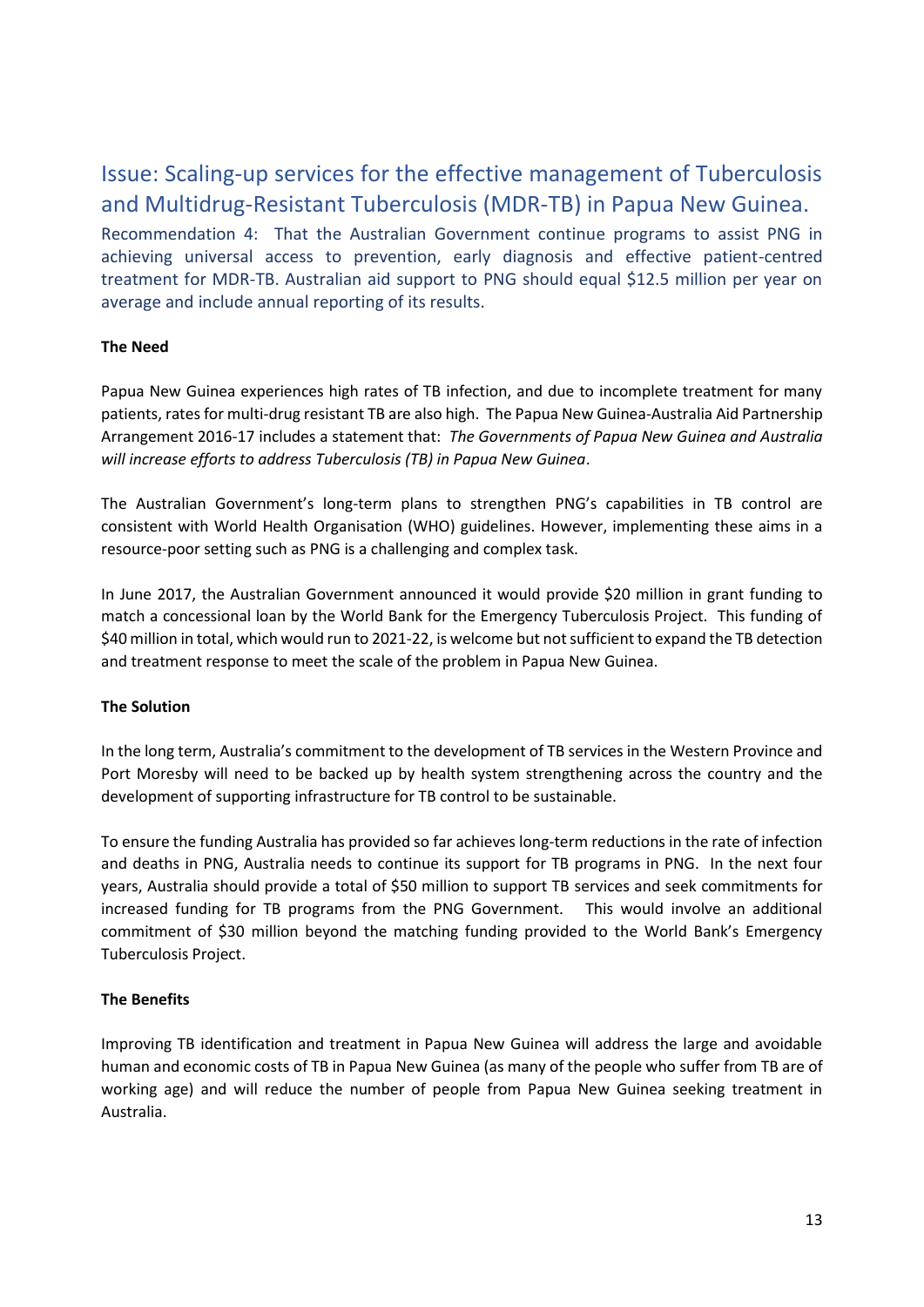# <span id="page-12-0"></span>Issue: Scaling-up services for the effective management of Tuberculosis and Multidrug-Resistant Tuberculosis (MDR-TB) in Papua New Guinea.

<span id="page-12-1"></span>Recommendation 4: That the Australian Government continue programs to assist PNG in achieving universal access to prevention, early diagnosis and effective patient-centred treatment for MDR-TB. Australian aid support to PNG should equal \$12.5 million per year on average and include annual reporting of its results.

#### **The Need**

Papua New Guinea experiences high rates of TB infection, and due to incomplete treatment for many patients, rates for multi-drug resistant TB are also high. The Papua New Guinea-Australia Aid Partnership Arrangement 2016-17 includes a statement that: *The Governments of Papua New Guinea and Australia will increase efforts to address Tuberculosis (TB) in Papua New Guinea*.

The Australian Government's long-term plans to strengthen PNG's capabilities in TB control are consistent with World Health Organisation (WHO) guidelines. However, implementing these aims in a resource-poor setting such as PNG is a challenging and complex task.

In June 2017, the Australian Government announced it would provide \$20 million in grant funding to match a concessional loan by the World Bank for the Emergency Tuberculosis Project. This funding of \$40 million in total, which would run to 2021-22, is welcome but not sufficient to expand the TB detection and treatment response to meet the scale of the problem in Papua New Guinea.

#### **The Solution**

In the long term, Australia's commitment to the development of TB services in the Western Province and Port Moresby will need to be backed up by health system strengthening across the country and the development of supporting infrastructure for TB control to be sustainable.

To ensure the funding Australia has provided so far achieves long-term reductions in the rate of infection and deaths in PNG, Australia needs to continue its support for TB programs in PNG. In the next four years, Australia should provide a total of \$50 million to support TB services and seek commitments for increased funding for TB programs from the PNG Government. This would involve an additional commitment of \$30 million beyond the matching funding provided to the World Bank's Emergency Tuberculosis Project.

## **The Benefits**

Improving TB identification and treatment in Papua New Guinea will address the large and avoidable human and economic costs of TB in Papua New Guinea (as many of the people who suffer from TB are of working age) and will reduce the number of people from Papua New Guinea seeking treatment in Australia.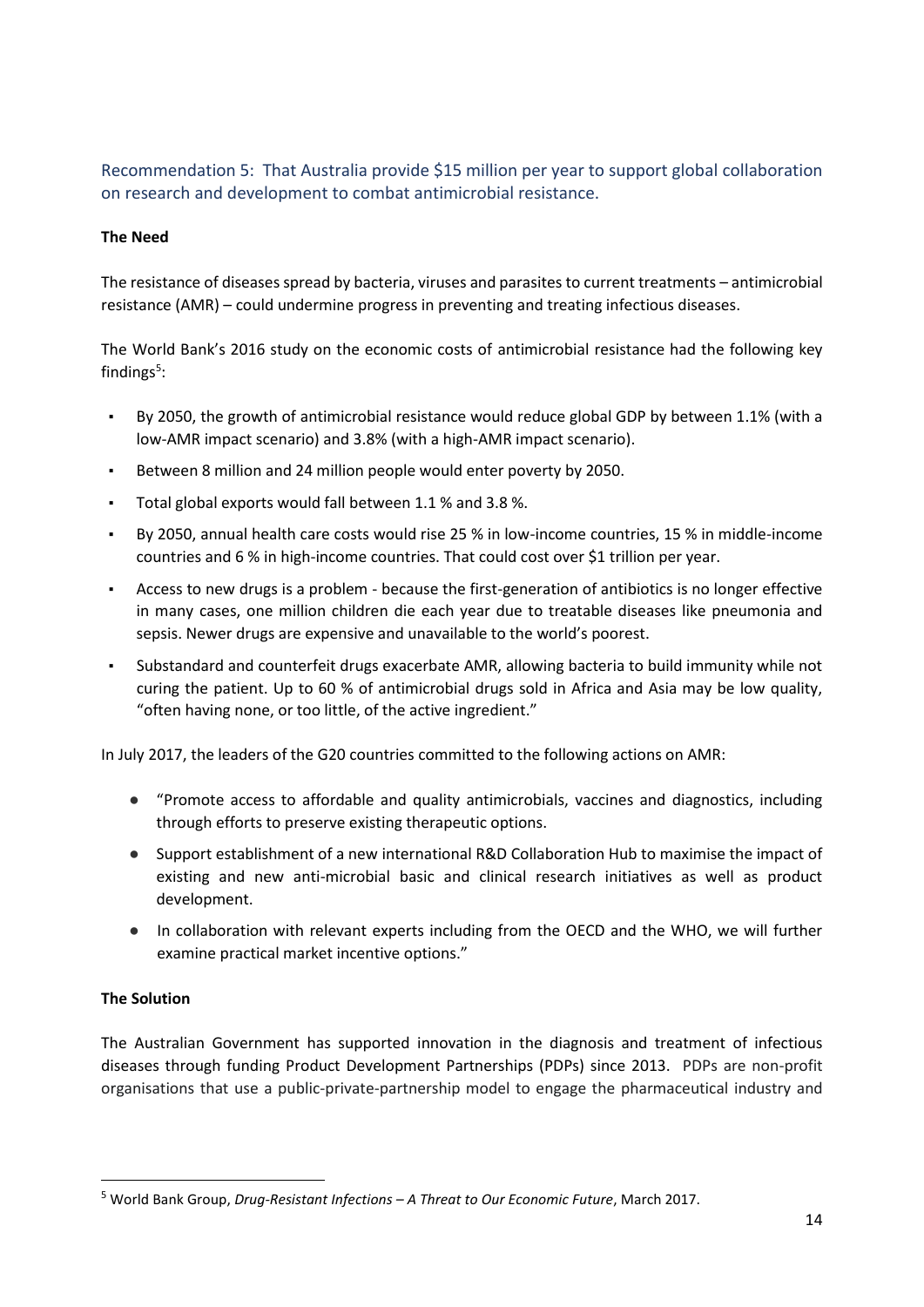<span id="page-13-0"></span>Recommendation 5: That Australia provide \$15 million per year to support global collaboration on research and development to combat antimicrobial resistance.

#### **The Need**

The resistance of diseases spread by bacteria, viruses and parasites to current treatments – antimicrobial resistance (AMR) – could undermine progress in preventing and treating infectious diseases.

The World Bank's 2016 study on the economic costs of antimicrobial resistance had the following key findings<sup>5</sup>:

- By 2050, the growth of antimicrobial resistance would reduce global GDP by between 1.1% (with a low-AMR impact scenario) and 3.8% (with a high-AMR impact scenario).
- Between 8 million and 24 million people would enter poverty by 2050.
- Total global exports would fall between 1.1 % and 3.8 %.
- By 2050, annual health care costs would rise 25 % in low-income countries, 15 % in middle-income countries and 6 % in high-income countries. That could cost over \$1 trillion per year.
- Access to new drugs is a problem because the first-generation of antibiotics is no longer effective in many cases, one million children die each year due to treatable diseases like pneumonia and sepsis. Newer drugs are expensive and unavailable to the world's poorest.
- Substandard and counterfeit drugs exacerbate AMR, allowing bacteria to build immunity while not curing the patient. Up to 60 % of antimicrobial drugs sold in Africa and Asia may be low quality, "often having none, or too little, of the active ingredient."

In July 2017, the leaders of the G20 countries committed to the following actions on AMR:

- "Promote access to affordable and quality antimicrobials, vaccines and diagnostics, including through efforts to preserve existing therapeutic options.
- Support establishment of a new international R&D Collaboration Hub to maximise the impact of existing and new anti-microbial basic and clinical research initiatives as well as product development.
- In collaboration with relevant experts including from the OECD and the WHO, we will further examine practical market incentive options."

#### **The Solution**

1

The Australian Government has supported innovation in the diagnosis and treatment of infectious diseases through funding Product Development Partnerships (PDPs) since 2013. PDPs are non-profit organisations that use a public-private-partnership model to engage the pharmaceutical industry and

<sup>5</sup> World Bank Group, *Drug-Resistant Infections – A Threat to Our Economic Future*, March 2017.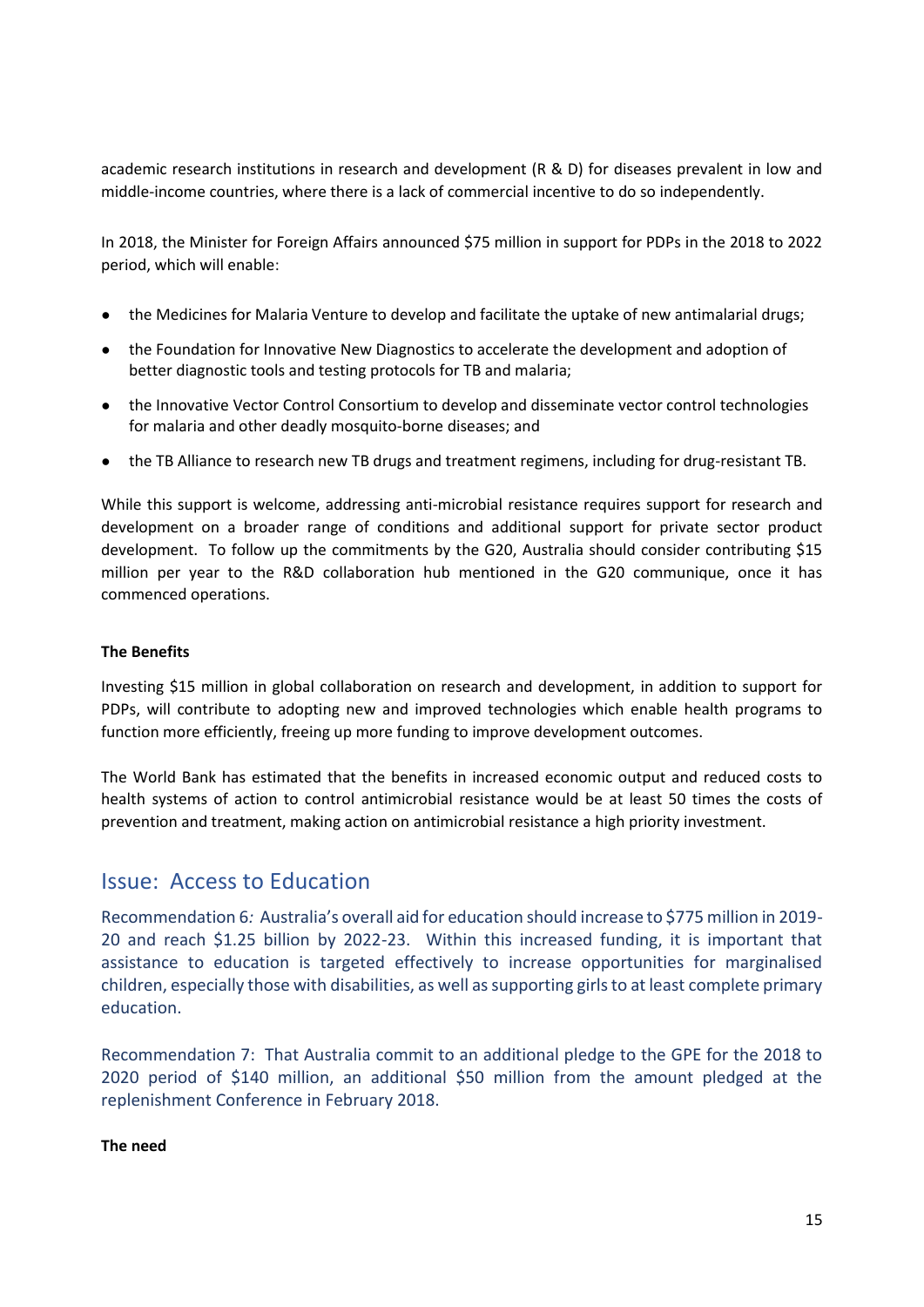academic research institutions in research and development (R & D) for diseases prevalent in low and middle-income countries, where there is a lack of commercial incentive to do so independently.

In 2018, the Minister for Foreign Affairs announced \$75 million in support for PDPs in the 2018 to 2022 period, which will enable:

- the Medicines for Malaria Venture to develop and facilitate the uptake of new antimalarial drugs;
- the Foundation for Innovative New Diagnostics to accelerate the development and adoption of better diagnostic tools and testing protocols for TB and malaria;
- the Innovative Vector Control Consortium to develop and disseminate vector control technologies for malaria and other deadly mosquito-borne diseases; and
- the TB Alliance to research new TB drugs and treatment regimens, including for drug-resistant TB.

While this support is welcome, addressing anti-microbial resistance requires support for research and development on a broader range of conditions and additional support for private sector product development. To follow up the commitments by the G20, Australia should consider contributing \$15 million per year to the R&D collaboration hub mentioned in the G20 communique, once it has commenced operations.

#### **The Benefits**

Investing \$15 million in global collaboration on research and development, in addition to support for PDPs, will contribute to adopting new and improved technologies which enable health programs to function more efficiently, freeing up more funding to improve development outcomes.

The World Bank has estimated that the benefits in increased economic output and reduced costs to health systems of action to control antimicrobial resistance would be at least 50 times the costs of prevention and treatment, making action on antimicrobial resistance a high priority investment.

## <span id="page-14-0"></span>Issue: Access to Education

<span id="page-14-1"></span>Recommendation 6*:* Australia's overall aid for education should increase to \$775 million in 2019- 20 and reach \$1.25 billion by 2022-23. Within this increased funding, it is important that assistance to education is targeted effectively to increase opportunities for marginalised children, especially those with disabilities, as well as supporting girls to at least complete primary education.

<span id="page-14-2"></span>Recommendation 7: That Australia commit to an additional pledge to the GPE for the 2018 to 2020 period of \$140 million, an additional \$50 million from the amount pledged at the replenishment Conference in February 2018.

#### **The need**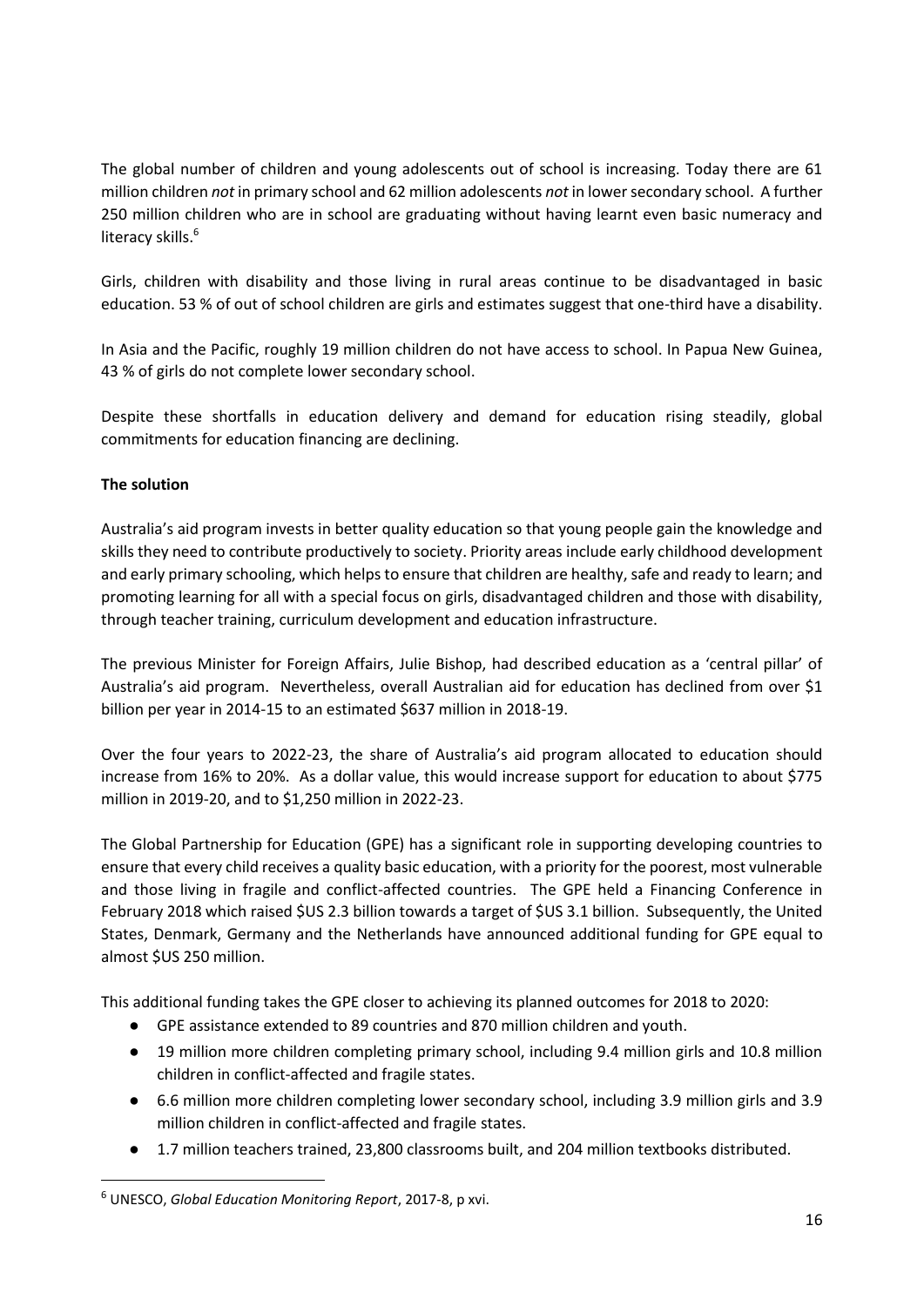The global number of children and young adolescents out of school is increasing. Today there are 61 million children *not* in primary school and 62 million adolescents *not* in lower secondary school. A further 250 million children who are in school are graduating without having learnt even basic numeracy and literacy skills.<sup>6</sup>

Girls, children with disability and those living in rural areas continue to be disadvantaged in basic education. 53 % of out of school children are girls and estimates suggest that one-third have a disability.

In Asia and the Pacific, roughly 19 million children do not have access to school. In Papua New Guinea, 43 % of girls do not complete lower secondary school.

Despite these shortfalls in education delivery and demand for education rising steadily, global commitments for education financing are declining.

#### **The solution**

1

Australia's aid program invests in better quality education so that young people gain the knowledge and skills they need to contribute productively to society. Priority areas include early childhood development and early primary schooling, which helps to ensure that children are healthy, safe and ready to learn; and promoting learning for all with a special focus on girls, disadvantaged children and those with disability, through teacher training, curriculum development and education infrastructure.

The previous Minister for Foreign Affairs, Julie Bishop, had described education as a 'central pillar' of Australia's aid program. Nevertheless, overall Australian aid for education has declined from over \$1 billion per year in 2014-15 to an estimated \$637 million in 2018-19.

Over the four years to 2022-23, the share of Australia's aid program allocated to education should increase from 16% to 20%. As a dollar value, this would increase support for education to about \$775 million in 2019-20, and to \$1,250 million in 2022-23.

The Global Partnership for Education (GPE) has a significant role in supporting developing countries to ensure that every child receives a quality basic education, with a priority for the poorest, most vulnerable and those living in fragile and conflict-affected countries. The GPE held a Financing Conference in February 2018 which raised \$US 2.3 billion towards a target of \$US 3.1 billion. Subsequently, the United States, Denmark, Germany and the Netherlands have announced additional funding for GPE equal to almost \$US 250 million.

This additional funding takes the GPE closer to achieving its planned outcomes for 2018 to 2020:

- GPE assistance extended to 89 countries and 870 million children and youth.
- 19 million more children completing primary school, including 9.4 million girls and 10.8 million children in conflict-affected and fragile states.
- 6.6 million more children completing lower secondary school, including 3.9 million girls and 3.9 million children in conflict-affected and fragile states.
- 1.7 million teachers trained, 23,800 classrooms built, and 204 million textbooks distributed.

<sup>6</sup> UNESCO, *Global Education Monitoring Report*, 2017-8, p xvi.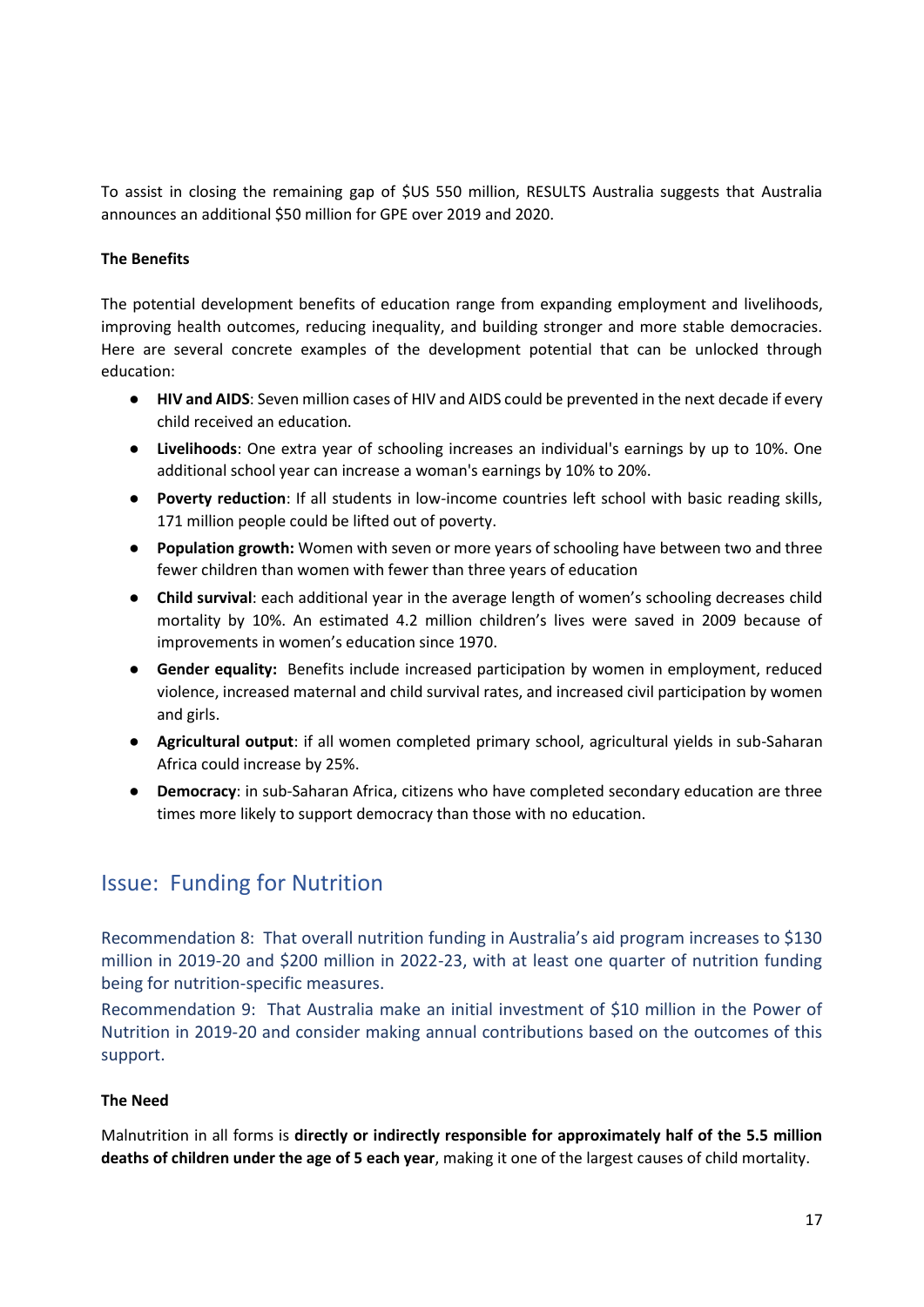To assist in closing the remaining gap of \$US 550 million, RESULTS Australia suggests that Australia announces an additional \$50 million for GPE over 2019 and 2020.

#### **The Benefits**

The potential development benefits of education range from expanding employment and livelihoods, improving health outcomes, reducing inequality, and building stronger and more stable democracies. Here are several concrete examples of the development potential that can be unlocked through education:

- **HIV and AIDS**: Seven million cases of HIV and AIDS could be prevented in the next decade if every child received an education.
- **Livelihoods**: One extra year of schooling increases an individual's earnings by up to 10%. One additional school year can increase a woman's earnings by 10% to 20%.
- **Poverty reduction**: If all students in low-income countries left school with basic reading skills, 171 million people could be lifted out of poverty.
- **Population growth:** Women with seven or more years of schooling have between two and three fewer children than women with fewer than three years of education
- **Child survival**: each additional year in the average length of women's schooling decreases child mortality by 10%. An estimated 4.2 million children's lives were saved in 2009 because of improvements in women's education since 1970.
- **Gender equality:** Benefits include increased participation by women in employment, reduced violence, increased maternal and child survival rates, and increased civil participation by women and girls.
- **Agricultural output**: if all women completed primary school, agricultural yields in sub-Saharan Africa could increase by 25%.
- **Democracy**: in sub-Saharan Africa, citizens who have completed secondary education are three times more likely to support democracy than those with no education.

## <span id="page-16-0"></span>Issue: Funding for Nutrition

<span id="page-16-1"></span>Recommendation 8: That overall nutrition funding in Australia's aid program increases to \$130 million in 2019-20 and \$200 million in 2022-23, with at least one quarter of nutrition funding being for nutrition-specific measures.

<span id="page-16-2"></span>Recommendation 9: That Australia make an initial investment of \$10 million in the Power of Nutrition in 2019-20 and consider making annual contributions based on the outcomes of this support.

#### **The Need**

Malnutrition in all forms is **directly or indirectly responsible for approximately half of the 5.5 million deaths of children under the age of 5 each year**, making it one of the largest causes of child mortality.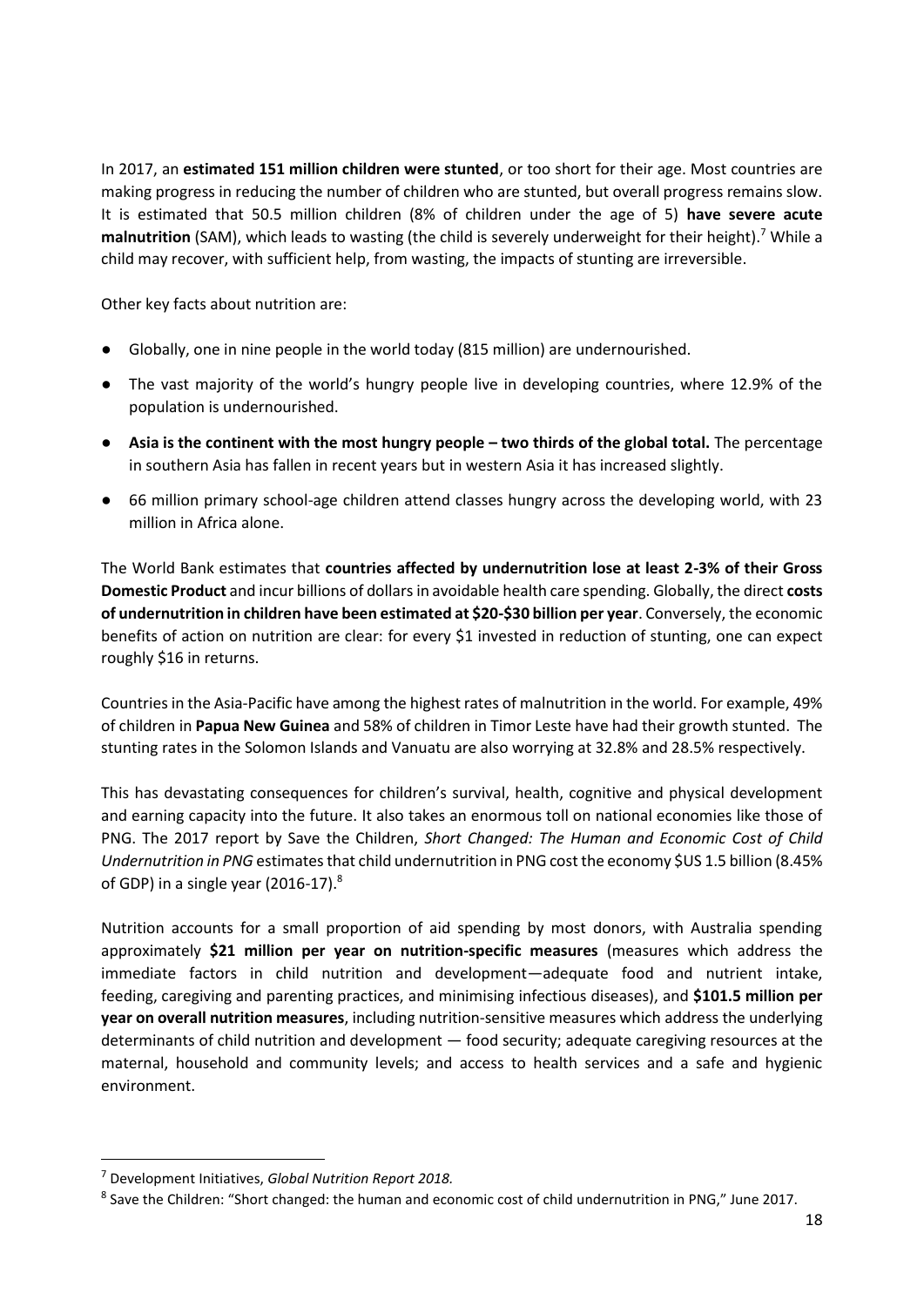In 2017, an **estimated 151 million children were stunted**, or too short for their age. Most countries are making progress in reducing the number of children who are stunted, but overall progress remains slow. It is estimated that 50.5 million children (8% of children under the age of 5) **have severe acute malnutrition** (SAM), which leads to wasting (the child is severely underweight for their height).<sup>7</sup> While a child may recover, with sufficient help, from wasting, the impacts of stunting are irreversible.

Other key facts about nutrition are:

- Globally, one in nine people in the world today (815 million) are undernourished.
- The vast majority of the world's hungry people live in developing countries, where 12.9% of the population is undernourished.
- **•** Asia is the continent with the most hungry people two thirds of the global total. The percentage in southern Asia has fallen in recent years but in western Asia it has increased slightly.
- 66 million primary school-age children attend classes hungry across the developing world, with 23 million in Africa alone.

The World Bank estimates that **countries affected by undernutrition lose at least 2-3% of their Gross Domestic Product** and incur billions of dollars in avoidable health care spending. Globally, the direct **costs of undernutrition in children have been estimated at \$20-\$30 billion per year**. Conversely, the economic benefits of action on nutrition are clear: for every \$1 invested in reduction of stunting, one can expect roughly \$16 in returns.

Countries in the Asia-Pacific have among the highest rates of malnutrition in the world. For example, 49% of children in **Papua New Guinea** and 58% of children in Timor Leste have had their growth stunted. The stunting rates in the Solomon Islands and Vanuatu are also worrying at 32.8% and 28.5% respectively.

This has devastating consequences for children's survival, health, cognitive and physical development and earning capacity into the future. It also takes an enormous toll on national economies like those of PNG. The 2017 report by Save the Children, *Short Changed: The Human and Economic Cost of Child Undernutrition in PNG* estimates that child undernutrition in PNG cost the economy \$US 1.5 billion (8.45% of GDP) in a single year (2016-17). $8$ 

Nutrition accounts for a small proportion of aid spending by most donors, with Australia spending approximately **\$21 million per year on nutrition-specific measures** (measures which address the immediate factors in child nutrition and development—adequate food and nutrient intake, feeding, caregiving and parenting practices, and minimising infectious diseases), and **\$101.5 million per year on overall nutrition measures**, including nutrition-sensitive measures which address the underlying determinants of child nutrition and development — food security; adequate caregiving resources at the maternal, household and community levels; and access to health services and a safe and hygienic environment.

**.** 

<sup>7</sup> Development Initiatives, *Global Nutrition Report 2018.*

<sup>&</sup>lt;sup>8</sup> Save the Children: "Short changed: the human and economic cost of child undernutrition in PNG," June 2017.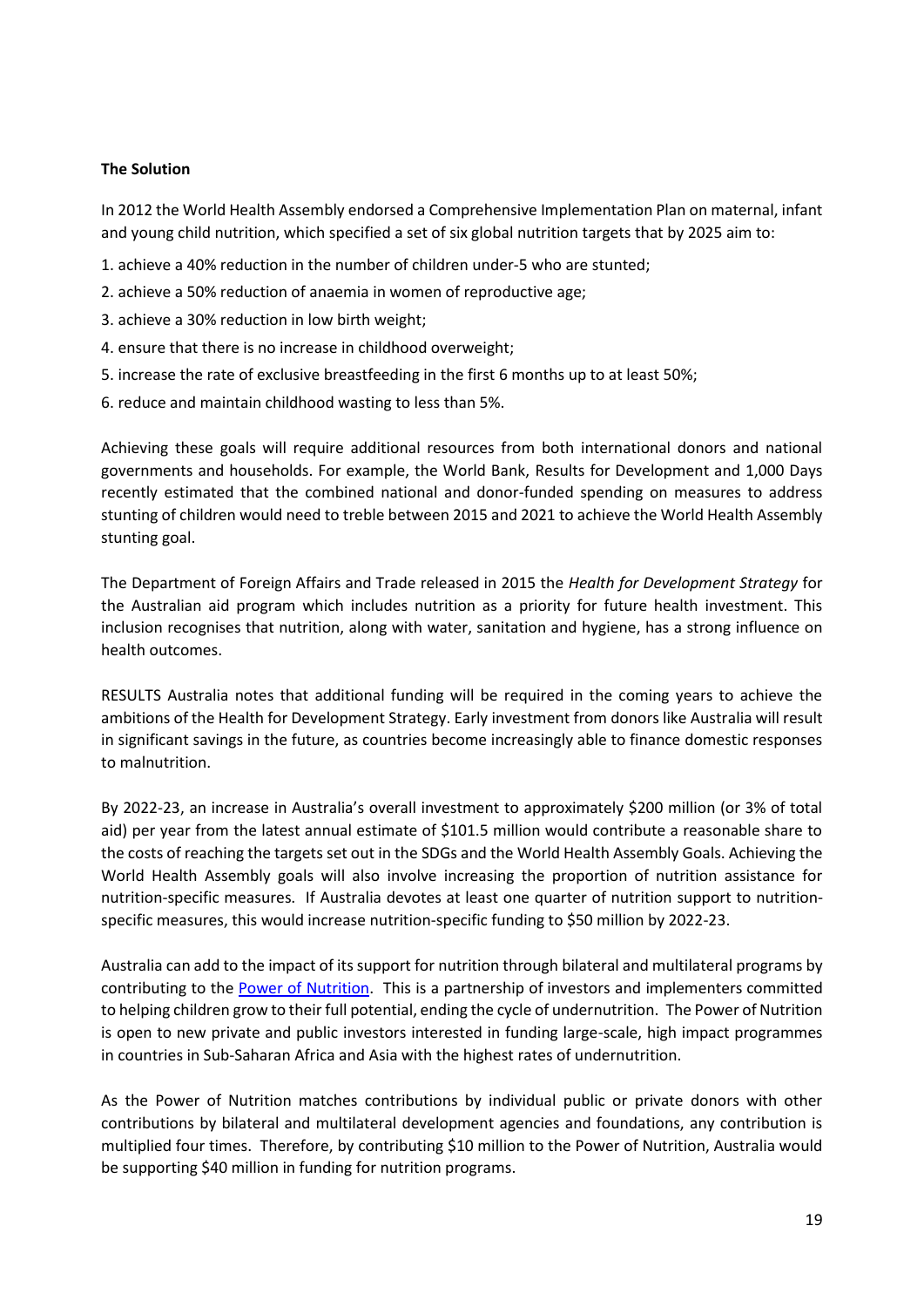#### **The Solution**

In 2012 the World Health Assembly endorsed a Comprehensive Implementation Plan on maternal, infant and young child nutrition, which specified a set of six global nutrition targets that by 2025 aim to:

- 1. achieve a 40% reduction in the number of children under-5 who are stunted;
- 2. achieve a 50% reduction of anaemia in women of reproductive age;
- 3. achieve a 30% reduction in low birth weight;
- 4. ensure that there is no increase in childhood overweight;
- 5. increase the rate of exclusive breastfeeding in the first 6 months up to at least 50%;
- 6. reduce and maintain childhood wasting to less than 5%.

Achieving these goals will require additional resources from both international donors and national governments and households. For example, the World Bank, Results for Development and 1,000 Days recently estimated that the combined national and donor-funded spending on measures to address stunting of children would need to treble between 2015 and 2021 to achieve the World Health Assembly stunting goal.

The Department of Foreign Affairs and Trade released in 2015 the *Health for Development Strategy* for the Australian aid program which includes nutrition as a priority for future health investment. This inclusion recognises that nutrition, along with water, sanitation and hygiene, has a strong influence on health outcomes.

RESULTS Australia notes that additional funding will be required in the coming years to achieve the ambitions of the Health for Development Strategy. Early investment from donors like Australia will result in significant savings in the future, as countries become increasingly able to finance domestic responses to malnutrition.

By 2022-23, an increase in Australia's overall investment to approximately \$200 million (or 3% of total aid) per year from the latest annual estimate of \$101.5 million would contribute a reasonable share to the costs of reaching the targets set out in the SDGs and the World Health Assembly Goals. Achieving the World Health Assembly goals will also involve increasing the proportion of nutrition assistance for nutrition-specific measures. If Australia devotes at least one quarter of nutrition support to nutritionspecific measures, this would increase nutrition-specific funding to \$50 million by 2022-23.

Australia can add to the impact of its support for nutrition through bilateral and multilateral programs by contributing to the [Power of Nutrition.](http://www.powerofnutrition.org/) This is a partnership of [investors and implementers](http://www.powerofnutrition.org/who-we-are/partners/) committed to helping children grow to their full potential, ending the cycle of undernutrition. The Power of Nutrition is open to new private and public investors interested in funding large-scale, high impact programmes in [countries](http://www.powerofnutrition.org/our-investments/) in Sub-Saharan Africa and Asia with the highest rates of undernutrition.

As the Power of Nutrition matches contributions by individual public or private donors with other contributions by bilateral and multilateral development agencies and foundations, any contribution is multiplied four times. Therefore, by contributing \$10 million to the Power of Nutrition, Australia would be supporting \$40 million in funding for nutrition programs.